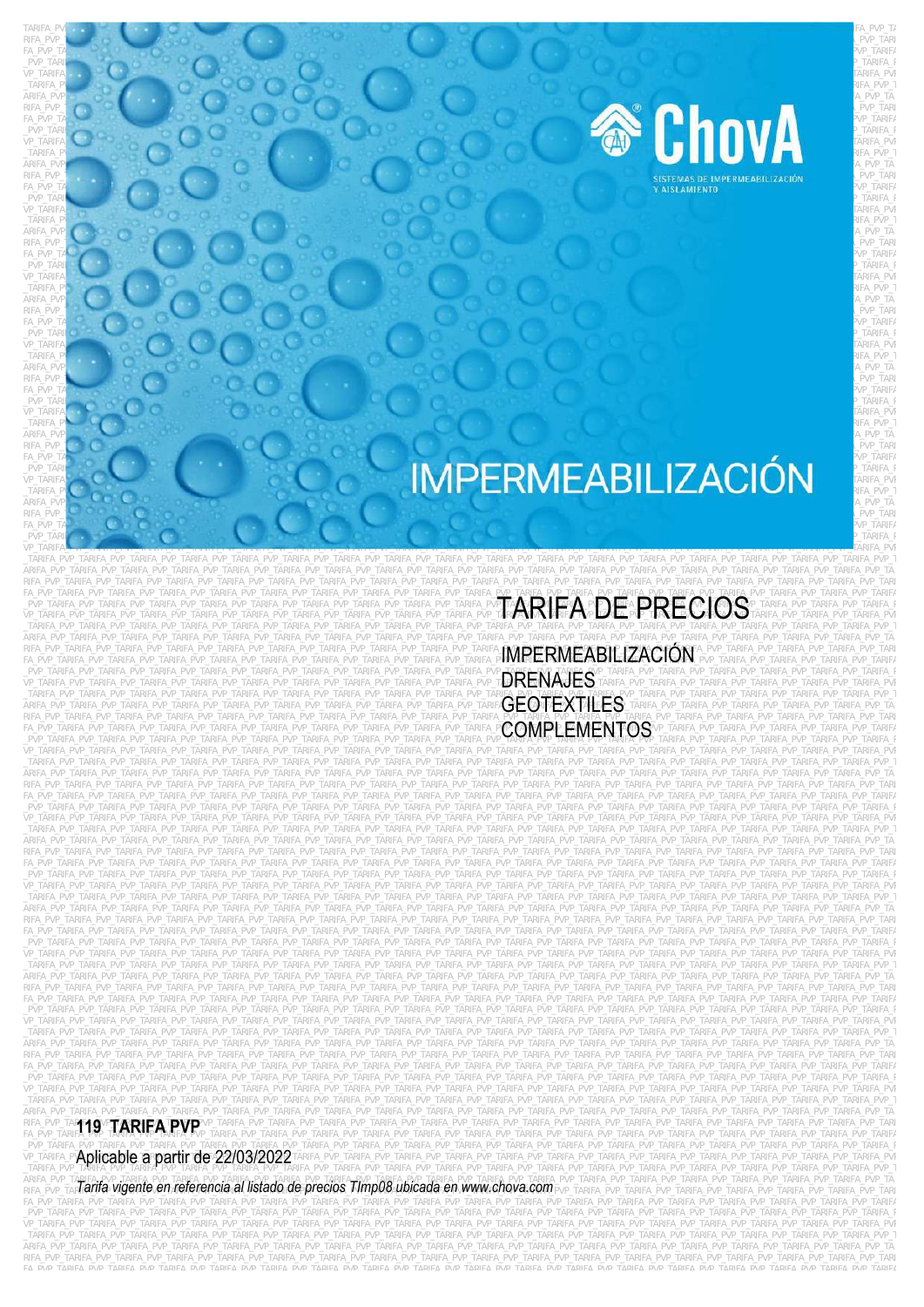## **EXPERIMEDIATE SERVER SERVER SERVER SERVER SERVER SERVER SERVER SERVER SERVER SERVER SERVER SERVER SERVER SERVER SERVER SERVER SERVER SERVER SERVER SERVER SERVER SERVER SERVER SERVER SERVER SERVER SERVER SERVER SERVER SERV** ARIFA\_PVP $\blacksquare$ PVP\_TARIFA\_PVP\_TARIFA\_PVP\_TARIFA\_PVP\_TARIFA\_PVP\_TARIFA\_PVP\_TARIFA\_PVP\_TARIFA\_PVP\_TARIFA\_PVP\_TARIFA\_PVP\_TARIFA\_PVP\_TARIFA\_PVP\_TARIFA\_PVP\_TARIFA\_PVP\_TARIFA\_PVP\_TARIFA\_PVP\_TARIFA\_PVP\_TARIFA\_PVP\_TARIFA\_PVP\_TARI

 $F$ apvp $_\text{P}$ v $_\text{P}$ ve $_\text{P}$ ve $_\text{P}$ ve $_\text{P}$ ve $_\text{P}$ ve $_\text{P}$ ve $_\text{P}$ tarif $\alpha$  $\_$ PVP\_TARI $_\ell$ vertarifa\_pvatarifa\_pvatarifa\_pvatarifa\_pvp\_tarifa\_pvp\_tarifa\_pvp\_tarifa\_pvp\_tarifa\_pvp\_tarifa\_pv  $\vee$ P\_TARIFA\_PVP\_TARIFA\_PVP\_TARIFA\_PVP\_TARIFA\_PVP\_TARIFA\_PVP\_TARIFA\_PVP\_TARIFA\_PVP\_TARIFA\_PVP\_TARIFA\_PVP\_TARIFA\_PVP\_  $\_$ TARIFA\_PV $\sim$  Tarifa\_pversus are very set of the contraction of the contraction of the contraction of the contraction of the contraction of the contraction of the contraction of the contraction of the contraction of th ARIFA\_PVP\_TARIFA\_PVP\_TARIFA\_PVP\_TARIFA\_PVP\_TARIFA\_PVP\_TARIFA\_PVP\_TARIFA\_PVP\_TARIFA\_PVP\_TARIFA\_PVP\_TARIFA\_PVP\_TA  $\textrm{RIFA\_PVP\_T}$  , which is a constant of the constant of the constant of the constant of the constant of the constant of the constant of the constant of the constant of the constant of the constant of the constant of the c  $\tt{FAPVPTA}^p$  , the point  $P$  -pvp  $\tt{PARIFAP}^p$  and  $P$  pvp. Tarifa\_pvp  $\tt{PARIFAP}^p$  $\_$ PVP\_TARI $_\mathrm{I}$ vertarifa\_pv $_\mathrm{V}$  tarifa\_pv $_\mathrm{V}$  tarifa\_pv $_\mathrm{V}$  tarifa\_pv  $\vee$ P\_TARIFA\_Pv $\vee$ Tarifa\_pv $\vee$  tarifa\_pvp\_tarifa\_pvp\_tarifa\_pvp\_tarifa\_pvp\_tarifa\_pvp\_tarifa\_pvp\_tarifa\_pvp\_tarifa\_pvp\_tarifa\_pvp\_tarifa\_pvp\_tarifa\_pvp\_tarifa\_pvp\_tarifa\_pvp\_tarifa\_pvp\_tarifa\_pvp\_tarifa\_pvp\_tarifa\_pv  $T$ ARIFA\_PV $\sim$  tariface the set of  $\sim$  tariface the set of the set of the set of the set of the set of the set of the set of the set of the set of the set of the set of the set of the set of the set of the set of the se ARIFA\_PVP\_TARIFA\_PVP\_TARIFA\_PVP\_TARIFA\_PVP\_TARIFA\_PVP\_TARIFA\_PVP\_TARIFA\_PVP\_TARIFA\_PVP\_TARIFA\_PVP\_TARIFA\_PVP\_TARIFA\_PVP\_TARIFA\_PVP\_TARIFA\_PVP\_TARIFA\_PVP\_TARIFA\_PVP\_TARIFA\_PVP\_TARIFA\_PVP\_TA  $\textrm{RIFA\_PVP\_T}$  , the contraction of the contraction of the contraction of the contraction of the contraction of the contraction of the contraction of the contraction of the contraction of the contraction of the contractio  $F$ apvp $_\text{P}$ tarifa $P$ ve $P$ ve $P$ tarifa $P$ ve $P$ urapa $P$ ve $P$ urapa $P$ ve $P$ urapa $P$ ve $P$ tarif $\alpha$  $\_$ PVP\_TARI $_\mathrm{V}$  $\vee$ P\_TARIFA\_PVP\_TARIFA\_PVP\_TARIFA\_PVP\_TARIFA\_PVP\_TARIFA\_PVP\_TARIFA\_PVP\_TARIFA\_PVP\_TARIFA\_PVP\_TARIFA\_PVP\_TARIFA\_PVP\_  $\Gamma$ arifa\_pv $\Gamma$ arifa\_pv $\Gamma$ arifa\_pv $\Gamma$ arifa\_pvp\_tarifa\_pvp\_tarifa\_pvp\_tarifa\_pvp\_tarifa\_pvp\_tarifa\_pvp\_tarifa\_pvp\_tarifa\_pvp\_tarifa\_pvp\_tarifa\_pvp\_tarifa\_pvp\_tarifa\_pvp\_tarifa\_pvp\_tarifa\_pvp\_tarifa\_pvp\_tarifa\_pv ARIFA\_PVP\_TARIFA\_PVP\_TARIFA\_PVP\_TARIFA\_PVP\_TARIFA\_PVP\_TARIFA\_PVP\_TARIFA\_PVP\_TARIFA\_PVP\_TARIFA\_PVP\_TARIFA\_PVP\_TARIFA\_PVP\_TARIFA\_PVP\_TARIFA\_PVP\_TARIFA\_PVP\_TARIFA\_PVP\_TARIFA\_PVP\_TARIFA\_PVP\_TA RIFA\_PVP\_TARIFA\_PVP\_TARIFA\_PVP\_TARIFA\_PVP\_TARIFA\_PVP\_TARIFA\_PVP\_TARIFA\_PVP\_TARIFA\_PVP\_TARIFA\_PVP\_TARIFA\_PVP\_TARIFA RIFA\_PVP\_TARIFA\_PVP\_TARIFA\_PVP\_TARIFA\_PVP\_TARIFA\_PVP\_TARIFA\_PVP\_TARIFA\_PVP\_TARIFA\_PVP\_TARIFA\_PVP\_TARIFA\_PVP\_TARIFA\_PVP\_TARIFA\_PVP\_TARIFA\_PVP\_TARIFA\_PVP\_TARIFA\_PVP\_TARIFA\_PVP\_TARIFA\_PVP\_TARIFA\_PVP\_TARIFA\_PVP\_TARIFA\_PVP\_TARI  $\tt{FAP}$  pvp $\tt{P}$  , the pvertation  $P$  vp  $\tt{P}$  taking  $P$  is a pvertation of the pvp. Tarifactor  $P$  vp  $\tt{P}$  $\_$ PVP\_TARI $_\ell$ VP\_TARIFA\_pv\_tarifa\_pv\_tarifa\_pv<sub>r</sub>tarifa\_pvp<sub>\_tarifa</sub>\_pv<sub>rtar</sub>ifa\_pvp<sub>\_tarifa</sub>\_pv<sub>p</sub>\_tarifa\_pvp\_tarifa\_pvp\_tarifa\_pvp\_tarifa\_pvp\_tarifa\_pvp\_tarifa\_pvp\_tarifa\_pvp\_tarifa\_pvp\_tarifa\_pvp\_tarifa\_pvp

\_TARIFA\_PVP\_TARIFA\_PVP\_TARIFA\_PVP\_TARIFA\_PVP\_TARIFA\_PVP\_TARIFA\_PVP\_TARIFA\_PVP\_TARIFA\_PVP\_TARIFA\_PVP\_TARIFA\_PVP\_TARIFA\_PVP\_TARIFA\_PVP\_TARIFA\_PVP\_TARIFA\_PVP\_TARIFA\_PVP\_TARIFA\_PVP\_TARIFA\_PVP\_T ARIFA\_PVP\_TARIFA\_PVP\_TARIFA\_PVP\_TARIFA\_PVP\_TARIFA\_PVP\_TARIFA\_PVP\_TARIFA\_PVP\_TARIFA\_PVP\_TARIFA\_PVP\_TARIFA\_PVP\_TARIFA\_PVP\_TARIFA\_PVP\_TARIFA\_PVP\_TARIFA\_PVP\_TARIFA\_PVP\_TARIFA\_PVP\_TARIFA\_PVP\_TA RIFA\_PVP\_TARIFA\_PVP\_TARIFA\_PVP\_TARIFA\_PVP\_TARIFA\_PVP\_TARIFA\_PVP\_TARIFA\_PVP\_TARIFA\_PVP\_TARIFA\_PVP\_TARIFA\_PVP\_TARIFA\_PVP\_TARIFA\_PVP\_TARIFA\_PVP\_TARIFA\_PVP\_TARIFA\_PVP\_TARIFA\_PVP\_TARIFA\_PVP\_TARI

FA PVP\_TARIFA\_PVP\_TARIFA\_PVP\_TARIFA\_PVP\_TARIFA\_PVP\_TARIFA\_PVP\_TARIFA\_PVP\_TARIFA\_PVP\_TARIFA\_PVP\_TARIFA\_PVP\_TARIFA\_PVD\_TARIFA\_PVP\_TARIFA\_PVP\_TARIFA\_PVP\_TARIFA\_PVP\_TARIFA\_PVP\_TARIFA\_PVP\_TARIFA\_PVP\_TARIFA\_PVP\_TARIFA\_PVP\_TARIFA \_TARIFA\_PVP\_TARIFA\_PVP\_TARIFA\_PVP\_TARIFA\_PVP\_TARIFA\_PVP\_TARIFA\_PVP\_TARIFA\_PVP\_TARIFA\_PVP\_TARIFA\_PVP\_TARIFA\_PVP\_TARIFA\_PVP\_TARIFA\_PVP\_TARIFA\_PVP\_TARIFA\_PVP\_TARIFA\_PVP\_TARIFA\_PVP\_TARIFA\_PVP\_T arifa\_pvp\_tarifa\_pvp\_tarifa\_pvp\_tarifa\_pvp\_tarifa\_pvp\_tarifa\_pvp\_tarifa\_pvp\_tarifa\_pvp\_tarifa\_pvp\_tarifa\_pvp\_tarifa\_pvp\_tarifa\_pvp\_tarifa\_pvp\_tarifa\_pvp\_tarifa\_pvp\_tarifa\_pvp\_tarifa\_pvp\_tarifa\_pvp\_tarifa\_pvp\_tarifa\_pvp\_tar \_PVP\_TARIFA\_PVP\_TARIFA\_PVP\_TARIFA\_PVP\_TARIFA\_PVP\_TARIFA\_PVP\_TARIFA\_PVP\_TARIFA\_PVP\_TARIFA\_PVP\_TARIFA\_PVP\_TARIFA\_PVP\_TARIFA\_PVP\_TARIFA\_PVP\_TARIFA\_PVP\_TARIFA\_PVP\_TARIFA\_PVP\_TARIFA\_PVP\_TARIFA\_PVP\_TARIFA\_PVP\_TARIFA\_PVP\_TARIFA\_P \_TARIFA\_PVP\_TARIFA\_PVP\_TARIFA\_PVP\_TARIFA\_PVP\_TARIFA\_PVP\_TARIFA\_PVP\_TARIFA\_PVP\_TARIFA\_PVP\_TARIFA\_PVP\_TARIFA\_PVP\_TARIFA\_PVP\_TARIFA\_PVP\_TARIFA\_PVP\_TARIFA\_PVP\_TARIFA\_PVP\_TARIFA\_PVP\_TARIFA\_PVP\_TARIFA\_PVP\_TARIFA\_PVP\_TARIFA\_PVP\_T RIFA\_PVP\_TARIFA\_PVP\_TARIFA\_PVP\_TARIFA\_PVP\_TARIFA\_PVP\_TARIFA\_PVP\_TARIFA\_PVP\_TARIFA\_PVP\_TARIFA\_PVP\_TARIFA\_PVP\_TARIFA\_PVP\_TARIFA\_PVP\_TARIFA\_PVP\_TARIFA\_PVP\_TARIFA\_PVP\_TARIFA\_PVP\_TARIFA\_PVP\_TARI FA\_PVP\_TARIFA\_PVP\_TARIFA\_PVP\_TARIFA\_PVP\_TARIFA\_PVP\_TARIFA\_PVP\_TARIFA\_PVP\_TARIFA\_PVP\_TARIFA\_PV**P\_TARIFA\_PVP\_TARIFA**<br>PVP\_TARIFA\_PVP\_TARIFA\_PVP\_TARIFA\_PVP\_TARIFA\_PVP\_TARIFA\_PVP\_TARIFA\_PVP\_TARIFA\_PVP\_TARIFA\_PVP\_TARIFA\_PVP\_TARI

\_PVP\_TARIFA\_PVP\_TARIFA\_PVP\_TARIFA\_PVP\_TARIFA\_PVP\_TARIFA\_PVP\_TARIFA\_PVP\_TARIFA\_PVP\_TARIFA\_PVP\_TARIFA\_PVP\_TARIFA\_PVP\_TARIFA\_PVP\_TARIFA\_PVP\_TARIFA\_PVP\_TARIFA\_PVP\_TARIFA\_PVP\_TARIFA\_PVP\_TARIFA\_P VP\_TARIFA\_PVP\_TARIFA\_PVP\_TARIFA\_PVP\_TARIFA\_PVP\_TARIFA\_PVP\_TARIFA\_PVP\_TARIFA\_PVP\_TARIFA\_PVP\_TARIFA\_PVP\_TARIFA\_PVP\_TARIFA\_PVP\_TARIFA\_PVP\_TARIFA\_PVP\_TARIFA\_PVP\_TARIFA\_PVP\_TARIFA\_PVP\_TARIFA\_PVP \_TARIFA\_PVP\_TARIFA\_PVP\_TARIFA\_PVP\_TARIFA\_PVP\_TARIFA\_PVP\_TARIFA\_PVP\_TARIFA\_PVP\_TARIFA\_PVP\_TARIFA\_PVP\_TARIFA\_PVP\_TARIFA\_PVP\_TARIFA\_PVP\_TARIFA\_PVP\_TARIFA\_PVP\_TARIFA\_PVP\_TARIFA\_PVP\_TARIFA\_PVP\_T ARIFA\_PVP\_TARIFA\_PVP\_TARIFA\_PVP\_TARIFA\_PVP\_TARIFA\_PVP\_TARIFA\_PVP\_TARIFA\_PVP\_TARIFA\_PVP\_TARIFA\_PVP\_TARIFA\_PVP\_TARIFA\_PVP\_TARIFA\_PVP\_TARIFA\_PVP\_TARIFA\_PVP\_TARIFA\_PVP\_TARIFA\_PVP\_TARIFA\_PVP\_TA RIFA\_PVP\_TARIFA\_PVP\_TARIFA\_PVP\_TARIFA\_PVP\_TARIFA\_PVP\_TARIFA\_PVP\_TARIFA\_PVP\_TARIFA\_PVP\_TARIFA\_PVP\_TARIFA\_PVP\_TARIFA\_PVP\_TARIFA\_PVP\_TARIFA\_PVP\_TARIFA\_PVP\_TARIFA\_PVP\_TARIFA\_PVP\_TARIFA\_PVP\_TARI FA\_PVP\_TARIFA\_PVP\_TARIFA\_PVP\_TARIFA\_PVP\_TARIFA\_PVP\_TARIFA\_PVP\_TARIFA\_PVP\_TARIFA\_PVP\_TARIFA\_PVP\_TARIFA\_PVP\_TARIFA\_PVP\_TARIFA\_PVP\_TARIFA\_PVP\_TARIFA\_PVP\_TARIFA\_PVP\_TARIFA\_PVP\_TARIFA\_PVP\_TARIFA \_PVP\_TARIFA\_PVP\_TARIFA\_PVP\_TARIFA\_PVP\_TARIFA\_PVP\_TARIFA\_PVP\_TARIFA\_PVP\_TARIFA\_PVP\_TARIFA\_PVP\_TARIFA\_PVP\_TARIFA\_PVP\_TARIFA\_PVP\_TARIFA\_PVP\_TARIFA\_PVP\_TARIFA\_PVP\_TARIFA\_PVP\_TARIFA\_PVP\_TARIFA\_P VP\_TARIFA\_PVP\_TARIFA\_PVP\_TARIFA\_PVP\_TARIFA\_PVP\_TARIFA\_PVP\_TARIFA\_PVP\_TARIFA\_PVP\_TARIFA\_PVP\_TARIFA\_PVP\_TARIFA\_PVP\_TARIFA\_PVP\_TARIFA\_PVP\_TARIFA\_PVP\_TARIFA\_PVP\_TARIFA\_PVP\_TARIFA\_PVP\_TARIFA\_PVP \_TARIFA\_PVP\_TARIFA\_PVP\_TARIFA\_PVP\_TARIFA\_PVP\_TARIFA\_PVP\_TARIFA\_PVP\_TARIFA\_PVP\_TARIFA\_PVP\_TARIFA\_PVP\_TARIFA\_PVP\_TARIFA\_PVP\_TARIFA\_PVP\_TARIFA\_PVP\_TARIFA\_PVP\_TARIFA\_PVP\_TARIFA\_PVP\_TARIFA\_PVP\_T ARIFA\_PVP\_TARIFA\_PVP\_TARIFA\_PVP\_TARIFA\_PVP\_TARIFA\_PVP\_TARIFA\_PVP\_TARIFA\_PVP\_TARIFA\_PVP\_TARIFA\_PVP\_TARIFA\_PVP\_TARIFA\_PVP\_TARIFA\_PVP\_TARIFA\_PVP\_TARIFA\_PVP\_TARIFA\_PVP\_TARIFA\_PVP\_TARIFA\_PVP\_TA RIFA\_PVP\_TARIFA\_PVP\_TARIFA\_PVP\_TARIFA\_PVP\_TARIFA\_PVP\_TARIFA\_PVP\_TARIFA\_PVP\_TARIFA\_PVP\_TARIFA\_PVP\_TARIFA\_PVP\_TARIFA\_PVP\_TARIFA\_PVP\_TARIFA\_PVP\_TARIFA\_PVP\_TARIFA\_PVP\_TARIFA\_PVP\_TARIFA\_PVP\_TARI FA\_PVP\_TARIFA\_PVP\_TARIFA\_PVP\_TARIFA\_PVP\_TARIFA\_PVP\_TARIFA\_PVP\_TARIFA\_PVP\_TARIFA\_PVP\_TARIFA\_PVP\_TARIFA\_PVP\_TARIFA\_PVP\_TARIFA\_PVP\_TARIFA\_PVP\_TARIFA\_PVP\_TARIFA\_PVP\_TARIFA\_PVP\_TARIFA\_PVP\_TARIFA \_PVP\_TARIFA\_PVP\_TARIFA\_PVP\_TARIFA\_PVP\_TARIFA\_PVP\_TARIFA\_PVP\_TARIFA\_PVP\_TARIFA\_PVP\_TARIFA\_PVP\_TARIFA\_PVP\_TARIFA\_PVP\_TARIFA\_PVP\_TARIFA\_PVP\_TARIFA\_PVP\_TARIFA\_PVP\_TARIFA\_PVP\_TARIFA\_PVP\_TARIFA\_P VP\_TARIFA\_PVP\_TARIFA\_PVP\_TARIFA\_PVP\_TARIFA\_PVP\_TARIFA\_PVP\_TARIFA\_PVP\_TARIFA\_PVP\_TARIFA\_PVP\_TARIFA\_PVP\_TARIFA\_PVP\_TARIFA\_PVP\_TARIFA\_PVP\_TARIFA\_PVP\_TARIFA\_PVP\_TARIFA\_PVP\_TARIFA\_PVP\_TARIFA\_PVP \_TARIFA\_PVP\_TARIFA\_PVP\_TARIFA\_PVP\_TARIFA\_PVP\_TARIFA\_PVP\_TARIFA\_PVP\_TARIFA\_PVP\_TARIFA\_PVP\_TARIFA\_PVP\_TARIFA\_PVP\_TARIFA\_PVP\_TARIFA\_PVP\_TARIFA\_PVP\_TARIFA\_PVP\_TARIFA\_PVP\_TARIFA\_PVP\_TARIFA\_PVP\_T ARIFA\_PVP\_TARIFA\_PVP\_TARIFA\_PVP\_TARIFA\_PVP\_TARIFA\_PVP\_TARIFA\_PVP\_TARIFA\_PVP\_TARIFA\_PVP\_TARIFA\_PVP\_TARIFA\_PVP\_TARIFA\_PVP\_TARIFA\_PVP\_TARIFA\_PVP\_TARIFA\_PVP\_TARIFA\_PVP\_TARIFA\_PVP\_TARIFA\_PVP\_TA RIFA\_PVP\_TARIFA\_PVP\_TARIFA\_PVP\_TARIFA\_PVP\_TARIFA\_PVP\_TARIFA\_PVP\_TARIFA\_PVP\_TARIFA\_PVP\_TARIFA\_PVP\_TARIFA\_PVP\_TARIFA\_PVP\_TARIFA\_PVP\_TARIFA\_PVP\_TARIFA\_PVP\_TARIFA\_PVP\_TARIFA\_PVP\_TARIFA\_PVP\_TARI FA\_PVP\_TARIFA\_PVP\_TARIFA\_PVP\_TARIFA\_PVP\_TARIFA\_PVP\_TARIFA\_PVP\_TARIFA\_PVP\_TARIFA\_PVP\_TARIFA\_PVP\_TARIFA\_PVP\_TARIFA\_PVP\_TARIFA\_PVP\_TARIFA\_PVP\_TARIFA\_PVP\_TARIFA\_PVP\_TARIFA\_PVP\_TARIFA\_PVP\_TARIFA \_PVP\_TARIFA\_PVP\_TARIFA\_PVP\_TARIFA\_PVP\_TARIFA\_PVP\_TARIFA\_PVP\_TARIFA\_PVP\_TARIFA\_PVP\_TARIFA\_PVP\_TARIFA\_PVP\_TARIFA\_PVP\_TARIFA\_PVP\_TARIFA\_PVP\_TARIFA\_PVP\_TARIFA\_PVP\_TARIFA\_PVP\_TARIFA\_PVP\_TARIFA\_P VP\_TARIFA\_PVP\_TARIFA\_PVP\_TARIFA\_PVP\_TARIFA\_PVP\_TARIFA\_PVP\_TARIFA\_PVP\_TARIFA\_PVP\_TARIFA\_PVP\_TARIFA\_PVP\_TARIFA\_PVP\_TARIFA\_PVP\_TARIFA\_PVP\_TARIFA\_PVP\_TARIFA\_PVP\_TARIFA\_PVP\_TARIFA\_PVP\_TARIFA\_PVP \_TARIFA\_PVP\_TARIFA\_PVP\_TARIFA\_PVP\_TARIFA\_PVP\_TARIFA\_PVP\_TARIFA\_PVP\_TARIFA\_PVP\_TARIFA\_PVP\_TARIFA\_PVP\_TARIFA\_PVP\_TARIFA\_PVP\_TARIFA\_PVP\_TARIFA\_PVP\_TARIFA\_PVP\_TARIFA\_PVP\_TARIFA\_PVP\_TARIFA\_PVP\_T ARIFA\_PVP\_TARIFA\_PVP\_TARIFA\_PVP\_TARIFA\_PVP\_TARIFA\_PVP\_TARIFA\_PVP\_TARIFA\_PVP\_TARIFA\_PVP\_TARIFA\_PVP\_TARIFA\_PVP\_TARIFA\_PVP\_TARIFA\_PVP\_TARIFA\_PVP\_TARIFA\_PVP\_TARIFA\_PVP\_TARIFA\_PVP\_TARIFA\_PVP\_TA RIFA\_PVP\_TARIFA\_PVP\_TARIFA\_PVP\_TARIFA\_PVP\_TARIFA\_PVP\_TARIFA\_PVP\_TARIFA\_PVP\_TARIFA\_PVP\_TARIFA\_PVP\_TARIFA\_PVP\_TARIFA\_PVP\_TARIFA\_PVP\_TARIFA\_PVP\_TARIFA\_PVP\_TARIFA\_PVP\_TARIFA\_PVP\_TARIFA\_PVP\_TARI FA\_PVP\_TARIFA\_PVP\_TARIFA\_PVP\_TARIFA\_PVP\_TARIFA\_PVP\_TARIFA\_PVP\_TARIFA\_PVP\_TARIFA\_PVP\_TARIFA\_PVP\_TARIFA\_PVP\_TARIFA\_PVP\_TARIFA\_PVP\_TARIFA\_PVP\_TARIFA\_PVP\_TARIFA\_PVP\_TARIFA\_PVP\_TARIFA\_PVP\_TARIFA \_PVP\_TARIFA\_PVP\_TARIFA\_PVP\_TARIFA\_PVP\_TARIFA\_PVP\_TARIFA\_PVP\_TARIFA\_PVP\_TARIFA\_PVP\_TARIFA\_PVP\_TARIFA\_PVP\_TARIFA\_PVP\_TARIFA\_PVP\_TARIFA\_PVP\_TARIFA\_PVP\_TARIFA\_PVP\_TARIFA\_PVP\_TARIFA\_PVP\_TARIFA\_P VP\_TARIFA\_PVP\_TARIFA\_PVP\_TARIFA\_PVP\_TARIFA\_PVP\_TARIFA\_PVP\_TARIFA\_PVP\_TARIFA\_PVP\_TARIFA\_PVP\_TARIFA\_PVP\_TARIFA\_PVP\_TARIFA\_PVP\_TARIFA\_PVP\_TARIFA\_PVP\_TARIFA\_PVP\_TARIFA\_PVP\_TARIFA\_PVP\_TARIFA\_PVP \_TARIFA\_PVP\_TARIFA\_PVP\_TARIFA\_PVP\_TARIFA\_PVP\_TARIFA\_PVP\_TARIFA\_PVP\_TARIFA\_PVP\_TARIFA\_PVP\_TARIFA\_PVP\_TARIFA\_PVP\_TARIFA\_PVP\_TARIFA\_PVP\_TARIFA\_PVP\_TARIFA\_PVP\_TARIFA\_PVP\_TARIFA\_PVP\_TARIFA\_PVP\_T ARIFA\_PVP\_TARIFA\_PVP\_TARIFA\_PVP\_TARIFA\_PVP\_TARIFA\_PVP\_TARIFA\_PVP\_TARIFA\_PVP\_TARIFA\_PVP\_TARIFA\_PVP\_TARIFA\_PVP\_TARIFA\_PVP\_TARIFA\_PVP\_TARIFA\_PVP\_TARIFA\_PVP\_TARIFA\_PVP\_TARIFA\_PVP\_TARIFA\_PVP\_TA RIFA\_PVP\_TARIFA\_PVP\_TARIFA\_PVP\_TARIFA\_PVP\_TARIFA\_PVP\_TARIFA\_PVP\_TARIFA\_PVP\_TARIFA\_PVP\_TARIFA\_PVP\_TARIFA\_PVP\_TARIFA\_PVP\_TARIFA\_PVP\_TARIFA\_PVP\_TARIFA\_PVP\_TARIFA\_PVP\_TARIFA\_PVP\_TARIFA\_PVP\_TARI FA\_PVP\_TARIFA\_PVP\_TARIFA\_PVP\_TARIFA\_PVP\_TARIFA\_PVP\_TARIFA\_PVP\_TARIFA\_PVP\_TARIFA\_PVP\_TARIFA\_PVP\_TARIFA\_PVP\_TARIFA\_PVP\_TARIFA\_PVP\_TARIFA\_PVP\_TARIFA\_PVP\_TARIFA\_PVP\_TARIFA\_PVP\_TARIFA\_PVP\_TARIFA \_PVP\_TARIFA\_PVP\_TARIFA\_PVP\_TARIFA\_PVP\_TARIFA\_PVP\_TARIFA\_PVP\_TARIFA\_PVP\_TARIFA\_PVP\_TARIFA\_PVP\_TARIFA\_PVP\_TARIFA\_PVP\_TARIFA\_PVP\_TARIFA\_PVP\_TARIFA\_PVP\_TARIFA\_PVP\_TARIFA\_PVP\_TARIFA\_PVP\_TARIFA\_P VP\_TARIFA\_PVP\_TARIFA\_PVP\_TARIFA\_PVP\_TARIFA\_PVP\_TARIFA\_PVP\_TARIFA\_PVP\_TARIFA\_PVP\_TARIFA\_PVP\_TARIFA\_PVP\_TARIFA\_PVP\_TARIFA\_PVP\_TARIFA\_PVP\_TARIFA\_PVP\_TARIFA\_PVP\_TARIFA\_PVP\_TARIFA\_PVP\_TARIFA\_PVP \_TARIFA\_PVP\_TARIFA\_PVP\_TARIFA\_PVP\_TARIFA\_PVP\_TARIFA\_PVP\_TARIFA\_PVP\_TARIFA\_PVP\_TARIFA\_PVP\_TARIFA\_PVP\_TARIFA\_PVP\_TARIFA\_PVP\_TARIFA\_PVP\_TARIFA\_PVP\_TARIFA\_PVP\_TARIFA\_PVP\_TARIFA\_PVP\_TARIFA\_PVP\_T ARIFA\_PVP\_TARIFA\_PVP\_TARIFA\_PVP\_TARIFA\_PVP\_TARIFA\_PVP\_TARIFA\_PVP\_TARIFA\_PVP\_TARIFA\_PVP\_TARIFA\_PVP\_TARIFA\_PVP\_TARIFA\_PVP\_TARIFA\_PVP\_TARIFA\_PVP\_TARIFA\_PVP\_TARIFA\_PVP\_TARIFA\_PVP\_TARIFA\_PVP\_TA RIFA\_PVP\_TARFA\_PVP**TARIFA\_PVP\_**TARIFA\_PVP\_TARIFA\_PVP\_TARIFA\_PVP\_TARIFA\_PVP\_TARIFA\_PVP\_TARIFA\_PVP\_TARIFA\_PVP\_TARIFA\_PVP\_TARIFA\_PVP\_TARIFA\_PVP\_TARIFA\_PVP\_TARIFA\_PVP\_TARIFA\_PVP\_TARIFA\_PVP\_TARIFA\_PVP\_TARIFA\_PVP\_TARIFA\_PVP\_TARI FA\_PVP\_TARIFA\_PVP\_TARIFA\_PVP\_TARIFA\_PVP\_TARIFA\_PVP\_TARIFA\_PVP\_TARIFA\_PVP\_TARIFA\_PVP\_TARIFA\_PVP\_TARIFA\_PVP\_TARIFA\_PVP\_TARIFA\_PVP\_TARIFA\_PVP\_TARIFA\_PVP\_TARIFA\_PVP\_TARIFA\_PVP\_TARIFA\_PVP\_TARIFA

## \_PVP\_TARIFA\_PVP\_TARIFA\_PVP\_TARIFA\_PVP\_TARIFA\_PVP\_TARIFA\_PVP\_TARIFA\_PVP\_TARIFA\_PVP\_TARIFA\_PVP\_TARIFA\_PVP\_TARIFA\_PVP\_TARIFA\_PVP\_TARIFA\_PVP\_TARIFA\_PVP\_TARIFA\_PVP\_TARIFA\_PVP\_TARIFA\_PVP\_TARIFA\_PVP\_TARIFA\_PVP\_TARIFA\_PVP\_TARIFA\_P \_TARIFA\_PVP\_TARIFA\_PVP\_TARIFA\_PVP\_TARIFA\_PVP\_TARIFA\_PVP\_TARIFA\_PVP\_TARIFA\_PVP\_TARIFA\_PVP\_TARIFA\_PVP\_TARIFA\_PVP\_TARIFA\_PVP\_TARIFA\_PVP\_TARIFA\_PVP\_TARIFA\_PVP\_TARIFA\_PVP\_TARIFA\_PVP\_TARIFA\_PVP\_T

ARIFA PVP TARIFA PVP TARIFA PVP TARIFA PVP TARIFA PVP TARIFA PVP TARIFA PVP TARIFA PVP TARIFA PVP TARIFA PVP TARIFA PVP TARIFA PVP TARIFA PVP TARIFA PVP TARIFA PVP TARIFA PVP TARIFA PVP TARIFA PVP TARIFA PVP TARIFA PVP TAR FA\_PVP\_TARIFA\_PVP\_TARIFA\_PVP\_TARIFA\_PVP\_TARIFA\_PVP\_TARIFA\_PVP\_TARIFA\_PVP\_TARIFA\_PVP\_TARIFA\_PVP\_TARIFA\_PVP\_TARIFA\_PVP\_TARIFA\_PVP\_TARIFA\_PVP\_TARIFA\_PVP\_TARIFA\_PVP\_TARIFA\_PVP\_TARIFA\_PVP\_TARIFA \_PVP\_TARIFA\_PVP\_TARIFA\_PVP\_TARIFA\_PVP\_TARIFA\_PVP\_TARIFA\_PVP\_TARIFA\_PVP\_TARIFA\_PVP\_TARIFA\_PVP\_TARIFA\_PVP\_TARIFA\_PVP\_TARIFA\_PVP\_TARIFA\_PVP\_TARIFA\_PVP\_TARIFA\_PVP\_TARIFA\_PVP\_TARIFA\_PVP\_TARIFA\_P VP\_TARIFA\_PVP\_TARIFA\_PVP\_TARIFA\_PVP\_TARIFA\_PVP\_TARIFA\_PVP\_TARIFA\_PVP\_TARIFA\_PVP\_TARIFA\_PVP\_TARIFA\_PVP\_TARIFA\_PVP\_TARIFA\_PVP\_TARIFA\_PVP\_TARIFA\_PVP\_TARIFA\_PVP\_TARIFA\_PVP\_TARIFA\_PVP\_TARIFA\_PVP \_TARIFA\_PVP\_TARIFA\_PVP\_TARIFA\_PVP\_TARIFA\_PVP\_TARIFA\_PVP\_TARIFA\_PVP\_TARIFA\_PVP\_TARIFA\_PVP\_TARIFA\_PVP\_TARIFA\_PVP\_TARIFA\_PVP\_TARIFA\_PVP\_TARIFA\_PVP\_TARIFA\_PVP\_TARIFA\_PVP\_TARIFA\_PVP\_TARIFA\_PVP\_T ARIFA\_PVP\_TARIFA\_PVP\_TARIFA\_PVP\_TARIFA\_PVP\_TARIFA\_PVP\_TARIFA\_PVP\_TARIFA\_PVP\_TARIFA\_PVP\_TARIFA\_PVP\_TARIFA\_PVP\_TARIFA\_PVP\_TARIFA\_PVP\_TARIFA\_PVP\_TARIFA\_PVP\_TARIFA\_PVP\_TARIFA\_PVP\_TARIFA\_PVP\_TA RIFA\_PVP\_TARIFA\_PVP\_TARIFA\_PVP\_TARIFA\_PVP\_TARIFA\_PVP\_TARIFA\_PVP\_TARIFA\_PVP\_TARIFA\_PVP\_TARIFA\_PVP\_TARIFA\_PVP\_TARIFA\_PVP\_TARIFA\_PVP\_TARIFA\_PVP\_TARIFA\_PVP\_TARIFA\_PVP\_TARIFA\_PVP\_TARIFA\_PVP\_TARI EA DVD\_TADIEA\_DVP\_TADIEA\_DVP\_TADIEA\_DVP\_TADIEA\_DVP\_TADIEA\_DVP\_TADIEA\_DVP\_TADIEA\_DVP\_TADIEA\_DVP\_TADIEA\_DVP\_TADIEA\_DVP\_TADIEA\_DVP\_TADIEA\_DVP\_TADIEA\_DVP\_TADIEA\_DVP\_TADIEA\_DVP\_TADIEA\_DVP\_TADIEA\_DVP\_TADIEA\_DVP\_TADIEA\_DVP\_TADIEA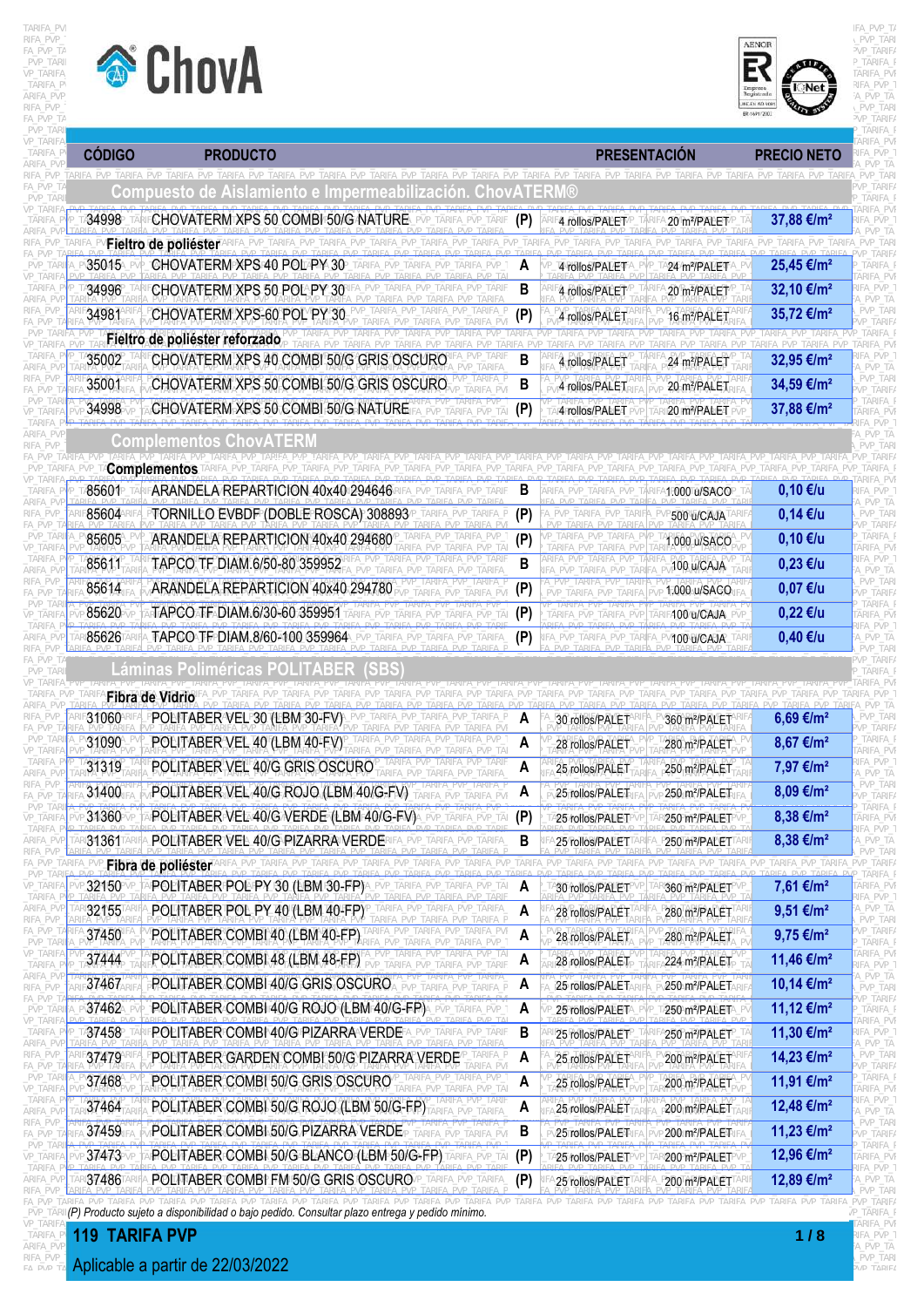



| <b>CÓDIGO</b>    | <b>PRODUCTO</b>                                                                                          |                    | <b>PRESENTACIÓN</b>          |                                        | <b>PRECIO NETO</b>                      | \RIFA PVI                                 |
|------------------|----------------------------------------------------------------------------------------------------------|--------------------|------------------------------|----------------------------------------|-----------------------------------------|-------------------------------------------|
|                  | TARIEA PVP TARIEA PVP TARIEA PVP TARIEA PVP<br>Compuesto de Aislamiento e Impermeabilización. ChovATERM® |                    |                              |                                        |                                         | PVP TARI<br>TARIF/                        |
| 34998            | CHOVATERM XPS 50 COMBI 50/G NATURE                                                                       | (P)                | 4 rollos/PALET               |                                        | 37,88 €/m <sup>2</sup>                  |                                           |
|                  | Fieltro de poliéster                                                                                     | IFA PVP TARIFA PVP |                              |                                        | PVP TARIFA PVP TARII                    |                                           |
| 35015            | CHOVATERM XPS 40 POL PY 30                                                                               | A                  | 4 rollos/PALET               | 24 m <sup>2</sup> /PALET               | 25,45 €/m <sup>2</sup>                  |                                           |
| 34996            | CHOVATERM XPS 50 POL PY 30                                                                               | B                  | 4 rollos/PALET               | 20 m <sup>2</sup> /PALET               | 32,10 €/m <sup>2</sup>                  | PVP TA                                    |
| 34981            | CHOVATERM XPS-60 POL PY 30                                                                               | (P)                | 4 rollos/PALET               | 16 m <sup>2</sup> /PALET               | 35,72 €/m <sup>2</sup>                  | PVP TARI                                  |
|                  | Fieltro de poliéster reforzado                                                                           |                    |                              |                                        |                                         |                                           |
| 35002            | CHOVATERM XPS 40 COMBI 50/G GRIS OSCURO                                                                  | B                  | 4 rollos/PALET               | 24 m <sup>2</sup> /PALET               | 32,95 €/m <sup>2</sup>                  | PVP TA                                    |
| 35001            | CHOVATERM XPS 50 COMBI 50/G GRIS OSCURO                                                                  | B                  | 4 rollos/PALET               | 20 m <sup>2</sup> /PALET               | 34,59 €/m <sup>2</sup>                  | PVP TARI<br>/P TARIF/                     |
| 34998            | CHOVATERM XPS 50 COMBI 50/G NATURE                                                                       | (P)                | 4 rollos/PALET               | 20 m <sup>2</sup> /PALET               | 37,88 €/m <sup>2</sup>                  | ARIFA PVI                                 |
|                  | <b>Complementos ChovATERN</b>                                                                            |                    |                              |                                        |                                         |                                           |
|                  | <b>Complementos</b>                                                                                      |                    |                              |                                        |                                         |                                           |
| 85601P           | ARANDELA REPARTICION 40x40 294646                                                                        | в                  |                              | 1:000 u/SACO <sup>p</sup>              | $0,10$ €/u                              |                                           |
| 85604            | TORNILLO EVBDF (DOBLE ROSCA) 308893                                                                      | (P)                |                              | 500 u/CAJA                             | 0,14 €/u                                | PVP TARI                                  |
| 85605            | ARANDELA REPARTICION 40x40 294680                                                                        | (P)                |                              | 1.000 u/SACO                           | 0,10 €/u                                |                                           |
| 85611            | TAPCO TF DIAM 6/50-80 359952                                                                             | B                  |                              | 100 u/CAJA                             | 0,23 €/u                                | PVP TA                                    |
| 85614            | ARANDELA REPARTICION 40x40 294780                                                                        | (P)                |                              | 1.000 u/SACO                           | 0,07 €/u                                | PVP_TARI<br>/P TARIF/                     |
| 85620            | TAPCO TF DIAM 6/30-60 359951                                                                             | (P)                |                              | <b>400 u/CAJA_PV</b>                   | 0,22 €/u                                | arifa pvi<br>FA PVP                       |
| 85626            | TAPCO TF DIAM.8/60-100 359964                                                                            | (P)                |                              | 100 u/CAJA                             | 0,40 €/u                                | . PVP TA<br>TAR                           |
|                  |                                                                                                          |                    |                              |                                        |                                         | /P TARIF/                                 |
|                  | Fibra de Vidrio                                                                                          |                    |                              |                                        |                                         |                                           |
| <b>31060 RIF</b> | PONTABERAVELP30 (LBMP30-FV)_P<br>P TARIFA PVP TARIFA PVP TARIFA PVP TARIFA PVP                           |                    |                              |                                        | 6.69 €/m <sup>2</sup>                   | /P_TARIF/                                 |
| 31090            | POLITABER VEL 40 (LBM 40-FV)                                                                             | A                  | 28 rollos/PALET              | 280 m <sup>2</sup> /PALET              | 8,67 €/m <sup>2</sup>                   | TARIFA_F<br>ARIFA PVF                     |
| 31319            | POLITABER VEL 40/G GRIS OSCURO                                                                           | A                  | 25 rollos/PALET              | 250 m <sup>2</sup> /PALET              | 7,97 €/m <sup>2</sup>                   | ifa pvp 1<br>A PVP TA                     |
| 31400            | POLITABER VEL 40/G ROJO (LBM 40/G-FV)                                                                    | A                  | 25 rollos/PALET              | 250 m <sup>2</sup> /PALET              | 8,09 €/m <sup>2</sup>                   | PVP_TARI<br>VP TARIFA                     |
| 31360            | POLITABER VEL 40/G VERDE (LBM 40/G-FV)                                                                   | (P)                | 25/rollos/PALET              | 250 m2/PALETPVI                        | 8,38 €/m <sup>2</sup>                   | TARIFA F<br>ARIFA_PVF                     |
| 81361            | POLITABER VEL 40/G PIZARRA VERDE                                                                         | В                  | 25 rollos/PALET              | 250 m <sup>2</sup> /PALET              | 8,38 €/m <sup>2</sup>                   | IFA_PVP_<br>A_PVP_TA<br>PVP TARI          |
|                  | VP_Fibra de poliéster ARIFA_PVP_TARIFA_PVP_TARIFA_PVP_TARIFA_PVP                                         |                    | TARIFA_PVP_TARIFA_PVP_TARIFA |                                        | TARIFA PVP TARIFA PVP TARIFA PVP TARIFA | PVP TARIFA                                |
| 32150            | POLITABER POL PY 30 (LBM 30-FP)<br>'VP_TARIFA_PVP_TAF                                                    | A                  | 30 rollos/PALET              | 360 m <sup>2</sup> /PALET              | 7,61 €/m <sup>2</sup>                   | arifa pvi<br>IFA PVP 1                    |
| 32155            | POLITABER POL PY 40 (LBM 40-FP)                                                                          | A                  | 28 rollos/PALET              | 280 m <sup>2</sup> /PALET              | 9,51 €/m <sup>2</sup>                   | A_PVP_TA<br>PVP TARI                      |
| 37450            | IFA PVP TARIFA PVF<br>POLITABER COMBI 40 (LBM 40-FP)                                                     | A                  | 28 rollos/PALET              | 280 m <sup>2</sup> /PALET              | 9,75 €/m <sup>2</sup>                   | vp_tarif <i>i</i><br>TARIFA F             |
| 37444            | POLITABER COMBI 48 (LBM 48-FP)                                                                           | A                  | 28 rollos/PALET              | 224 m <sup>2</sup> /PALET              | 11,46 €/m <sup>2</sup>                  | ARIFA PVF<br>IFA_PVP_1<br><b>\_PVP_TA</b> |
| 37467            | POLITABER COMBI 40/G GRIS OSCURO                                                                         | A                  | 25 rollos/PALET              | 250 m <sup>2</sup> /PALETA             | 10,14 €/m <sup>2</sup>                  | PVP_TARI<br>vp_tarif <i>i</i>             |
| 37462            | POLITABER COMBI 40/G ROJO (LBM 40/G-FR) PVP TARIFA PVP                                                   | A                  | 25 rollos/PALETA             | <b>250 m2/PALETA</b>                   | 11,12 €/m <sup>2</sup>                  | TARIFA_F<br>ARIFA PVF                     |
| 37458            | <b>POLITABER COMBI 40/G PIZARRA VERDE</b> A PVP_TARIFA_PVP_TARIE.                                        | B                  | 25 rollos/PALET              | 250 m <sup>2</sup> /PALET <sup>P</sup> | 11,30 €/m <sup>2</sup>                  | <b>RIFA_PVP_T</b><br>LPVP_TA              |
| 37479            | POLITABER GARDEN COMBI 50/G PIZARRA VERDE                                                                | A                  | 25 rollos/PALET              | 200 m <sup>2</sup> /PALET              | 14,23 €/m <sup>2</sup>                  | PVP_TARI<br>VP_TARIFA                     |
| 37468            | POLITABER COMBI 50/G GRIS OSCURO<br>PVP TAF                                                              | A                  | 25 rollos/PALET              | 200 m <sup>2</sup> /PALET              | 11,91 €/m <sup>2</sup>                  | TARIFA F<br>ARIFA_PVF                     |
| 37464            | POLITABER COMBI 50/G ROJO (LBM 50/G-FP)                                                                  | A                  | 25 rollos/PALET              | 200 m <sup>2</sup> /PALET              | 12,48 €/m <sup>2</sup>                  | IFA_PVP_1<br>A_PVP_TA                     |
| 37459            | POLITABER COMBI 50/G PIZARRA VERDE                                                                       | B                  | 25 rollos/PALET              | 200 m <sup>2</sup> /PALET              | 11,23 €/m <sup>2</sup>                  | PVP_TARI<br>VP TARIF/<br>TARIFA_I         |
|                  |                                                                                                          |                    |                              |                                        |                                         |                                           |
| 37473            | POLITABER COMBI 50/G BLANCO (LBM 50/G-FP) TARIFA_PVP_TAR                                                 | (P)                | 25 rollos/PALET              | 200 m <sup>2</sup> /PALET              | 12,96 €/m <sup>2</sup>                  | ARIFA PVF<br>IFA PVP 1                    |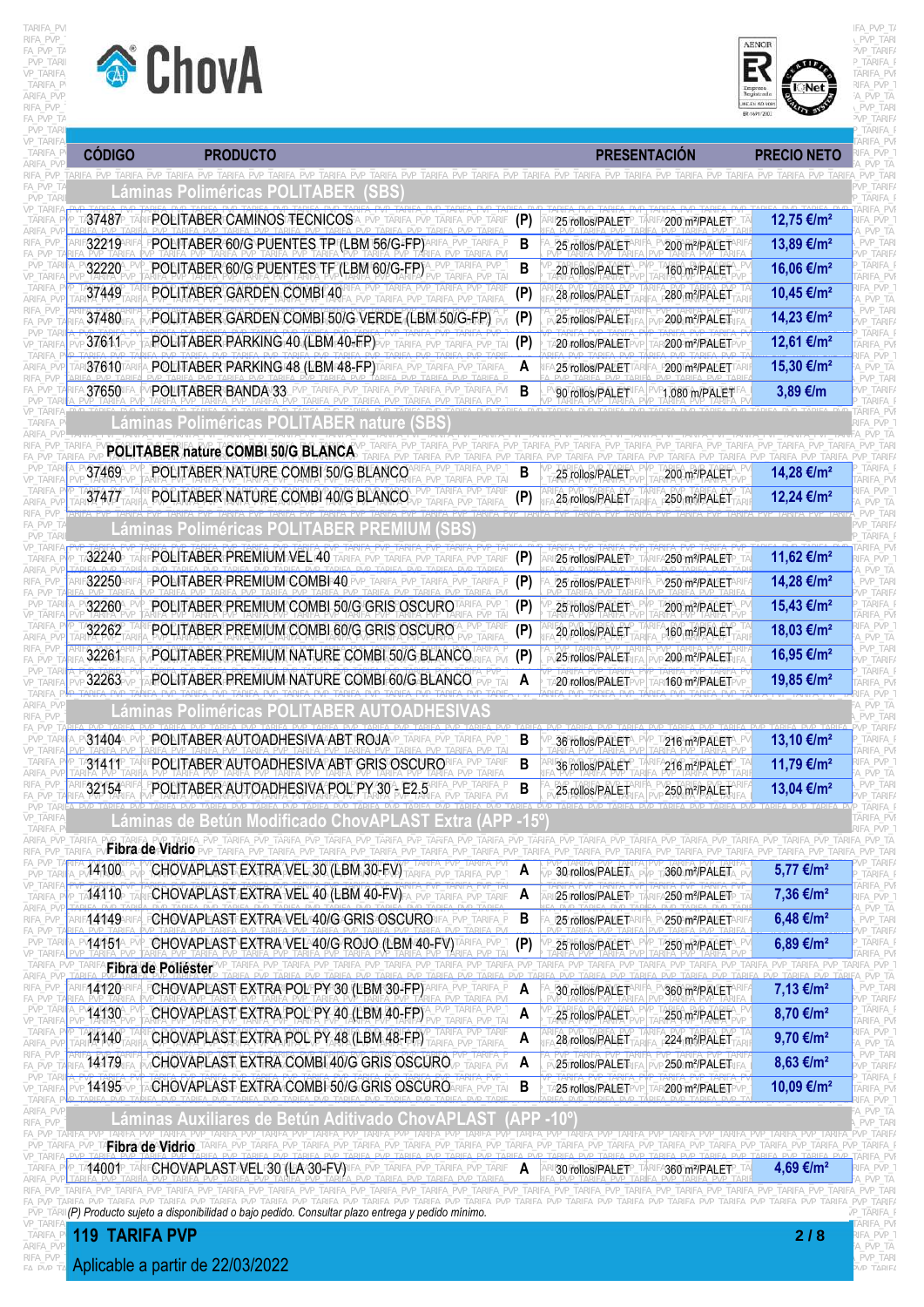



| <b>CÓDIGO</b>  | <b>PRODUCTO</b>                                                                                                                                                                                                                                                                                                                         |        | <b>PRESENTACIÓN</b>                |                                                        | <b>PRECIO NETO</b>                                            | . PVI                                            |
|----------------|-----------------------------------------------------------------------------------------------------------------------------------------------------------------------------------------------------------------------------------------------------------------------------------------------------------------------------------------|--------|------------------------------------|--------------------------------------------------------|---------------------------------------------------------------|--------------------------------------------------|
|                | <u> Láminas Poliméricas POLITABER</u><br>ISBS                                                                                                                                                                                                                                                                                           |        |                                    |                                                        |                                                               | PVP TARI<br>TAR E                                |
| 37487          | POLITABER CAMINOS TECNICOS                                                                                                                                                                                                                                                                                                              | (P)    | 25 rollos/PALET                    | 200 m <sup>2</sup> /PALET                              | 12,75 €/m <sup>2</sup>                                        |                                                  |
| 32219          | POLITABER 60/G PUENTES TP (LBM 56/G-FP)                                                                                                                                                                                                                                                                                                 | B      | 25 rollos/PALET                    | 200 m <sup>2</sup> /PALET                              | 13,89 €/m <sup>2</sup>                                        | PVP TA<br>PVP_TARI                               |
| 32220          | POLITABER 60/G PUENTES TF (LBM 60/G-FP)                                                                                                                                                                                                                                                                                                 | B      | 20 rollos/PALET                    | 160 m <sup>2</sup> /PALET                              | 16,06 €/m <sup>2</sup>                                        | P TARIF/<br>TARIFA I<br>ARIFA PVF                |
| 37449          | POLITABER GARDEN COMBI 40                                                                                                                                                                                                                                                                                                               | (P)    | 28 rollos/PALET                    | 280 m <sup>2</sup> /PALET                              | 10,45 €/m <sup>2</sup>                                        | IFA PVP 1<br>A PVP TA                            |
| 37480          | POLITABER GARDEN COMBI 50/G VERDE (LBM 50/G-FP)                                                                                                                                                                                                                                                                                         | (P)    | 25 rollos/PALET                    | 200 m <sup>2</sup> /PALET                              | 14,23 €/m <sup>2</sup>                                        | PVP TARI<br><b>VP TARIFA</b>                     |
| 37611          | POLITABER PARKING 40 (LBM 40-FP)                                                                                                                                                                                                                                                                                                        | (P)    | A20 rollos/PALET                   | 200m <sup>2</sup> /PALET <sub>P</sub>                  | 12,61 €/m <sup>2</sup>                                        | TARIFA_I<br>ARIFA PVF                            |
| 37610          | POLITABERTPARKING48 (LBM48-FP)TARIFA_PVP                                                                                                                                                                                                                                                                                                | A      | 25 rollos/PALET                    | 200 m <sup>2</sup> /PALET <sup>1</sup>                 | 15,30 €/m <sup>2</sup>                                        | FA PVP 1<br><i>A</i> PVP TA<br>PVP_TARI          |
| 37650          | <b>POLITABER BANDA 33_PVP.</b>                                                                                                                                                                                                                                                                                                          | B      | 90 rollos/PALET                    | 1.080 m/PALET                                          | 3,89 €/m                                                      | vp_tarif <i>i</i>                                |
|                | Láminas Poliméricas POLITABER nature                                                                                                                                                                                                                                                                                                    |        |                                    |                                                        |                                                               | arifa pvi<br>IFA PVP 1                           |
|                | POLITABER nature COMBI 50/G BLANCA                                                                                                                                                                                                                                                                                                      |        |                                    |                                                        |                                                               | PVP TA<br>PVP TARI                               |
| 37469          | POLITABER NATURE COMBI 50/G BLANCO                                                                                                                                                                                                                                                                                                      | B      | 25 rollos/PALET                    | 200 m <sup>2</sup> /PALET                              | 14,28 €/m <sup>2</sup>                                        | tarifa i<br>ARIFA PVI                            |
| 37477          | POLITABER NATURE COMBI 40/G BLANCO                                                                                                                                                                                                                                                                                                      | (P)    | 25 rollos/PALET                    | 250 m <sup>2</sup> /PALET                              | 12,24 €/m <sup>2</sup>                                        | PVP TA                                           |
|                | Láminas Poliméricas POLITABER PRE                                                                                                                                                                                                                                                                                                       |        |                                    |                                                        |                                                               | PVP TARI<br>/P TARIF/                            |
| 32240          | POLITABER PREMIUM VEL 40<br>ARIFA PVP TARIFA PVP TARIFA PVP TARIF.                                                                                                                                                                                                                                                                      | (P)    | 25 rollos/PALET                    | 4250°m?/PALETP.                                        | 11,62 €/m <sup>2</sup>                                        | ifa pvp 1                                        |
| 32250          | POLITABER-PREMIUM COMBR40 PVP                                                                                                                                                                                                                                                                                                           | (P)    | 25 rollos/PALET                    | 250 m <sup>2</sup> /PALETARIE                          | 14,28 €/m <sup>2</sup>                                        | PVP TA<br>PVP TARI                               |
| 32260          | POLITABER PREMIUM COMBI 50/G GRIS OSCURO                                                                                                                                                                                                                                                                                                | (P)    | 25 rollos/PALET                    | 200 m <sup>2</sup> /PALET                              | 15,43 €/m <sup>2</sup>                                        | P_TARIF/<br>TARIFA I                             |
| 32262          | POLITABER PREMIUM COMBI 60/G GRIS OSCURO                                                                                                                                                                                                                                                                                                | (P)    | 20 rollos/PALET                    | 160 m <sup>2</sup> /PALET                              | 18,03 €/m <sup>2</sup>                                        | ARIFA PVI<br>IFA_PVP_                            |
| 32261          | POLITABER PREMIUM NATURE COMBI 50/G BLANCO                                                                                                                                                                                                                                                                                              | (P)    | 25 rollos/PALET                    | 200 m <sup>2</sup> /PALET                              | 16,95 €/m <sup>2</sup>                                        | <i>A</i> PVP TA<br>PVP_TARI<br>vp_tarif <i>i</i> |
| 32263          | POLITABER PREMIUM NATURE COMBI 60/G BLANCO                                                                                                                                                                                                                                                                                              | A      | 20 rollos/PALET                    | 160m <sup>2</sup> /PALET                               | 19,85 €/m <sup>2</sup>                                        | TARIFA F<br>ARIFA PVF                            |
|                | Láminas Poliméricas POLITABER AUTOADHESIVAS                                                                                                                                                                                                                                                                                             |        |                                    |                                                        |                                                               | FA PVP 1<br>PVP TA                               |
| <b>31404</b>   | POLITABERAUTOADHESIVAABTTROJA                                                                                                                                                                                                                                                                                                           | В      |                                    |                                                        | 13,10 €/m <sup>2</sup>                                        | PVP TARI<br>/P TARIF/<br>TARIFA I                |
| 31411          | POLITABER AUTOADHESIVA ABT GRIS OSCURO                                                                                                                                                                                                                                                                                                  | B      | 36 rollos/PALET<br>36 rollos/PALET | 216 m <sup>2</sup> /PALET<br>216 m <sup>2</sup> /PALET | 11,79 €/m <sup>2</sup>                                        | \RIFA PVI<br>FA_PVP_                             |
| 32154          | POLITABER AUTOADHESIVA POL PY 30 - E2.5                                                                                                                                                                                                                                                                                                 | B      | 25 rollos/PALET                    | 250 m <sup>2</sup> /PALET                              | 13,04 €/m <sup>2</sup>                                        | PVP TA<br>PVP_TARI                               |
|                |                                                                                                                                                                                                                                                                                                                                         |        |                                    |                                                        |                                                               | ARIF/                                            |
|                | Láminas de Betún Modificado ChovAPLAST Extra (APP -15°<br>PVP_TARIFA_PVP_TARIFA_PVP_TARIFA_PVP_TARIFA_PVP_TARIFA_PVP_TARIFA_PVP_TARIFA_PVP_TARIFA_PVP_TARIFA_PVP_TARIFA_PVP_TARIFA_PVP_TARIFA_PVP_TARIFA_PVP_TARIFA_PVP_TARIFA_PVP_TARIFA_PVP_TARIFA_PVP_TARIFA_PVP_TARIFA_PVP_TARIFA_PV                                                |        |                                    |                                                        |                                                               | `ARIFA_PVI<br>RIFA PVP T                         |
|                | Fibra de Vidrio<br>VP_TARIFA_PVP_TARIFA_PVP_TARIFA_PVP_TARIFA_PVP_TARIFA_PVP_TARIFA_PVP_TARIFA_PVP_TARIFA_PVP_TARIFA_PVP_TARIFA_PVP_TARIFA_PVP_TARIFA_PVP_TARIFA_PVP_TARIFA_PVP_TARIFA_PVP_TARIFA_PVP_TARIFA_PVP_TARIFA_PVP_TARIFA_PVP_TARIFA_PVP                                                                                       |        |                                    |                                                        |                                                               | p tarif <i>i</i>                                 |
| 14100<br>14110 | CHOVAPLAST EXTRA VEL 30 (LBM 30-FV)                                                                                                                                                                                                                                                                                                     | A      | 30 rollos/PALET                    | 360 m <sup>2</sup> /PALET                              | 5,77 €/m <sup>2</sup>                                         | <b>TARIFA F</b><br>ARIFA PVF                     |
| 44149          | CHOVAPLAST EXTRA VEL 40 (LBM 40-FV)<br>CHOVAPLAST EXTRA VEL 40/G GRIS OSCURO                                                                                                                                                                                                                                                            | A<br>B | 25 rollos/PALET                    | 250 m <sup>2</sup> /PALET                              | 7,36 €/m <sup>2</sup><br>6,48 €/m <sup>2</sup>                | RIFA PVP T<br>A_PVP_TA                           |
| V14151A        | FA PVP TARIFA P<br>CHOVAPLAST EXTRA VEL 40/G/ROJO (LBM 40-FV)TARIFA_PVP                                                                                                                                                                                                                                                                 | (P)    | 25 rollos/PALET                    | <b>250 m<sup>2</sup>/PALET</b>                         | 6,89 €/m <sup>2</sup>                                         | PVP_TARI<br>VP_TARIFA<br>_TARIFA_F               |
|                | TARIFA_PVP_TARIFA_PVP_TARIFA_PVP_TARIFA_PVP_TARIFA_PVP_TARIFA_PVP_TARIFA_PVP_TARIFA_PVP_TARIFA_PVP_TARIFA_PVP_TARIFA_PVP_TARIFA_PVP_TARIFA_PVP_TARIFA_PVP_T<br>Fibra de Poliéster                                                                                                                                                       |        | 25 rollos/PALET                    | 250 m <sup>2</sup> /PALET                              |                                                               | arifa pvi                                        |
| 141204         | PVP TARIEA PVP TARIEA PVP TARIEA PVP TARIEA PVP TARIEA<br>CHOVAPLAST EXTRA POLPY 30 (LBM 30-FP)<br>IFA_PVP_TARIFA_P                                                                                                                                                                                                                     | A      | 30 rollos/PALET                    | 360 m <sup>2</sup> /PALET                              | TARIFA PVP TARIFA PVP TA<br>7,13 €/m <sup>2</sup>             | PVP_TARI                                         |
| 14130          | CHOVAPLAST EXTRA POL PY 40 (LBM 40-FP)                                                                                                                                                                                                                                                                                                  | A      | 25 rollos/PALET                    | 250 m <sup>2</sup> /PALET                              | 8,70 €/m <sup>2</sup>                                         | VP_TARIFA<br>TARIFA_F                            |
| 14140          | CHOVAPLAST EXTRA POL PY 48 (LBM 48-FP)                                                                                                                                                                                                                                                                                                  | A      | 28 rollos/PALET                    | 224 m <sup>2</sup> /PALET                              | 9,70 €/m <sup>2</sup>                                         | ARIFA_PVF<br>RIFA_PVP_T<br>A_PVP_TA              |
| 14179          | CHOVAPLAST EXTRA COMBI 40/G GRIS OSCURO<br>IFA PVF                                                                                                                                                                                                                                                                                      | A      | 25 rollos/PALET                    | 250 m <sup>2</sup> /PALET                              | 8,63 €/m <sup>2</sup>                                         | PVP_TARI<br>VP_TARIFA                            |
| 14195          | CHOVAPLAST EXTRA COMBI 50/G GRIS OSCURO<br>PVP TAF                                                                                                                                                                                                                                                                                      | B      | <b>25 rollos/PALET</b>             | <b>200 m<sup>2</sup>/PALET</b>                         | 10,09 €/m <sup>2</sup>                                        | _TARIFA_F<br>ARIFA_PVF                           |
|                | Láminas Auxiliares de Betún Aditivado ChovAPLAST                                                                                                                                                                                                                                                                                        |        | (APP -1 <u>0°</u>                  |                                                        |                                                               | IFA PVP 1<br>A_PVP_TA                            |
|                | Fibra de Vidrio<br>IFA PVP TARIFA PVP TARIFA PVP TARIFA PVP TARIFA PVP TARIFA PVP TARIFA PVP TARIFA PVP TARIFA PVP TARIFA PVP TARIFA PVP TARIFA PVP TARIFA PVP TARIFA PVP TARIFA PVP TARIFA PVP TARIFA PVP TARIFA PVP TARIFA PVP TARIFA PVP TARIF                                                                                       |        |                                    |                                                        | TARIFA PVP TARIFA PVP TARIFA PVP TARIFA PVP TARIFA PVP TARIFA | PVP_TARI                                         |
|                | P_TA14001P_TARIF <b>CHOVAPLASTAVELP30 (LAA30-EV)</b> RIFA_PVP_TARIFA_PVP_TARIFA_PVP_TARIF                                                                                                                                                                                                                                               | А      | 30 rollos/PALET                    | 360 m <sup>2</sup> /PALET                              | 4.69 €/m <sup>2</sup>                                         | ifa pvp 1                                        |
|                | 'ARIFA PVP TARIFA PVP TARIFA PVP TARIFA PVP TARIFA PVP TARIFA PVP TARIFA PVP TARIFA PVP TARIFA PVP TARIFA PVP TARIFA PVP TARIFA PVP TARIFA PVP TARIFA PVP TARIFA PVP TARIFA PVP TARIFA PVP TARIFA PVP TARIFA PVP TARIFA PVP TA                                                                                                          |        |                                    |                                                        |                                                               | PVP TA                                           |
|                | PVP TARIEA PVP TARIEA PVP TARIEA PVP TARIEA PVP TARIEA PVP TARIEA PVP TARIEA PVP TARIEA PVP TARIEA PVP TARIEA PVP TARIEA PVP TARIEA PVP TARIEA PVP TARIEA PVP TARIEA PVP TARIEA PVP TARIEA PVP TARIEA PVP TARIEA PVP TARIEA P<br>PVP_TARII (P) Producto sujeto a disponibilidad o bajo pedido. Consultar plazo entrega y pedido mínimo. |        |                                    |                                                        |                                                               | /P TARIFA F                                      |
|                | <b>119 TARIFA PVP</b>                                                                                                                                                                                                                                                                                                                   |        |                                    |                                                        | 2/8                                                           | ARIFA PVF<br>:IFA_PVP_1<br>\_PVP_TA              |
|                | Aplicable a partir de 22/03/2022                                                                                                                                                                                                                                                                                                        |        |                                    |                                                        |                                                               | PVP TARI<br>ID TADIE/                            |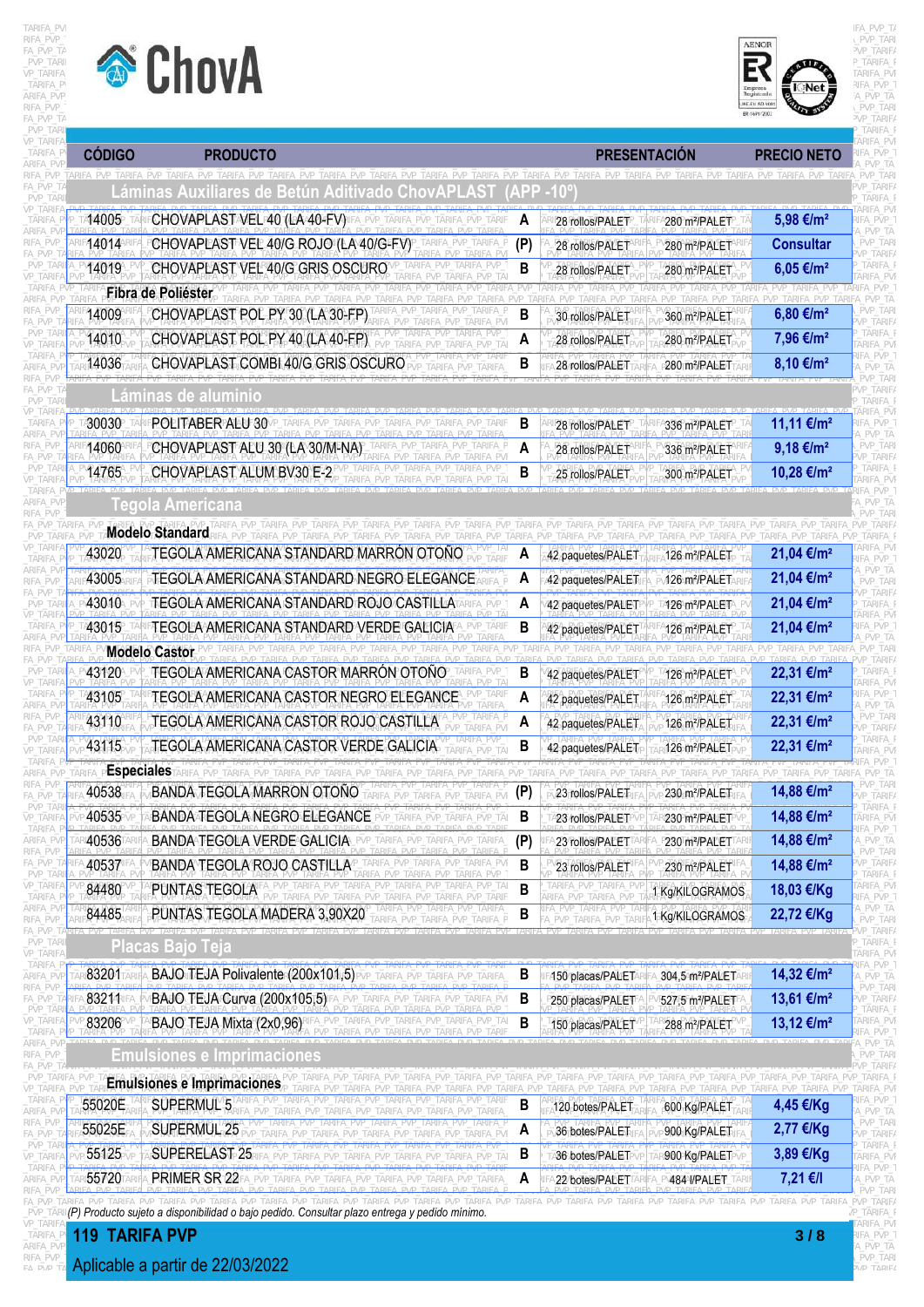



| <b>CÓDIGO</b>              | <b>PRODUCTO</b>                                                                                                                                                                           |        | <b>PRESENTACIÓN</b>                          |                                 | <b>PRECIO NETO</b>     |                                            |
|----------------------------|-------------------------------------------------------------------------------------------------------------------------------------------------------------------------------------------|--------|----------------------------------------------|---------------------------------|------------------------|--------------------------------------------|
| IFA PVP TARIFA PVP         | Lamınas<br><u>Betun Aditivado</u>                                                                                                                                                         |        |                                              |                                 |                        | PVP TARI<br>ARIF/                          |
| A14005                     | CHOVAPLAST-VEL-40 (LA-40-FV)                                                                                                                                                              | A      | 28 rollos/PALET                              | 280 m <sup>2</sup> /PALET       | 5,98 €/m <sup>2</sup>  |                                            |
| 14014                      | CHOVAPLAST VEL 40/G ROJO (LA 40/GEFV)                                                                                                                                                     | (P)    | 28 rollos/PALET                              | 280 m <sup>2</sup> /PALET       | <b>Consultar</b>       | PVP TARI<br>P TARIF/                       |
| 14019                      | CHOVAPLAST VEL 40/G GRIS OSCURO                                                                                                                                                           | B      | 28 rollos/PALET                              | 280 m <sup>2</sup> /PALET       | 6,05 €/m <sup>2</sup>  |                                            |
|                            | Fibra de Poliéster                                                                                                                                                                        |        |                                              |                                 |                        |                                            |
| 14009                      | CHOVAPLAST POL PY 30 (LA 30-FP)                                                                                                                                                           | В      | 30 rollos/PALET                              | 360 m <sup>2</sup> /PALET       | 6,80 €/m <sup>2</sup>  | P TARIF/                                   |
| 14010                      | CHOVAPLAST POL PY 40 (LA 40-FP)                                                                                                                                                           | A      | 28 rollos/PALET                              | 280 m <sup>2</sup> /PALET       | 7,96 €/m <sup>2</sup>  |                                            |
| 14036                      | CHOVAPLAST COMBI 40/G GRIS OSCURO                                                                                                                                                         | B      | 28 rollos/PALET                              | 280 m <sup>2</sup> /PALET       | 8,10 €/m <sup>2</sup>  | FA PVP<br>PVP TA<br>PVP TARI               |
|                            | Láminas de aluminio                                                                                                                                                                       |        |                                              |                                 |                        | P_TARIFA                                   |
| 30030                      | POLITABER ALU 30                                                                                                                                                                          | B      | 28 rollos/PALET                              | 336 m <sup>2</sup> /PALET       | 11,11 €/m <sup>2</sup> | IFA PVP                                    |
| 14060                      | CHOVAPLAST ALU 30 (LA 30/M-NA)<br>PVP_TARIFA P                                                                                                                                            | A      | 28 rollos/PALET                              | 336 m <sup>2</sup> /PALET       | 9,18 €/m <sup>2</sup>  | PVP TA<br>PVP_TARI                         |
| 14765                      | CHOVAPLAST ALUM BV30 E-2                                                                                                                                                                  | B      | 25 rollos/PALET                              | 300 m <sup>2</sup> /PALET       | 10,28 €/m <sup>2</sup> | /P TARIF/<br><b>TARIFA</b>                 |
|                            |                                                                                                                                                                                           |        |                                              |                                 |                        |                                            |
|                            | Tegola Americana                                                                                                                                                                          |        |                                              |                                 |                        | PVP TA                                     |
|                            | <b>Modelo Standard</b>                                                                                                                                                                    |        |                                              |                                 |                        |                                            |
| 43020                      | TEGOLA AMERICANA STANDARD MARRON OTOÑO                                                                                                                                                    |        | 42 paquetes/PALET                            | 126 m <sup>2</sup> /PALET       | 21,04 €/m <sup>2</sup> | PVP TA                                     |
| 43005                      | TEGOLA AMERICANA STANDARD NEGRO ELEGANCE                                                                                                                                                  | A      | 42 paquetes/PALET                            | 126 m <sup>2</sup> /PALET       | 21,04 €/m <sup>2</sup> | PVP TARI                                   |
| 43010                      | TEGOLA AMERICANA STANDARD ROJO CASTILLA                                                                                                                                                   | A      | 42 paquetes/PALET                            | A26\m <sup>2</sup> /PALETA      | 21,04 €/m <sup>2</sup> | tarifa                                     |
| 43015                      | TEGOLA AMERICANA STANDARD VERDE GALICIA                                                                                                                                                   | B      | 42 paquetes/PALET                            | 126 m <sup>2</sup> /PALET       | 21,04 €/m <sup>2</sup> |                                            |
|                            | <b>Modelo Castor</b>                                                                                                                                                                      |        |                                              |                                 |                        |                                            |
| 43120                      | TEGOLA AMERICANA CASTOR MARRÓN OTOÑO                                                                                                                                                      | В      | 42 paquetes/PALET                            | 126 m <sup>2</sup> /PALET       | 22,31 €/m <sup>2</sup> |                                            |
| 43105                      | TEGOLA AMERICANA CASTOR NEGRO ELEGANCE                                                                                                                                                    | A      | 42 paquetes/PALET                            | 126 m <sup>2</sup> /PALET       | 22,31 €/m <sup>2</sup> | PVP TA<br>PVP_TARI                         |
| 43110                      | TEGOLA AMERICANA CASTOR ROJO CASTILLA                                                                                                                                                     | A      | 42 paquetes/PALET                            | 126 m <sup>2</sup> /PALET       | 22,31 €/m <sup>2</sup> | /P TARIF/<br><b>TARIFA</b>                 |
| 43115                      | <b>TEGOLA AMERICANA CASTOR VERDE GALICIA</b>                                                                                                                                              | B      | 42 paquetes/PALET                            | 126 m <sup>2</sup> /PALET       | 22,31 €/m <sup>2</sup> |                                            |
| <b>Especiales</b><br>40538 | TARIFA PVP TARIFA PVP TARIFA PV<br>BANDA TEGOLA MARRON OTOÑO                                                                                                                              |        |                                              |                                 | 14,88 €/m <sup>2</sup> |                                            |
|                            |                                                                                                                                                                                           | (P     | 23 rollos/PALET                              | 230 m <sup>2</sup> /PALET       | 14,88 €/m <sup>2</sup> |                                            |
| 40535<br>40536             | <b>BANDA TEGOLA NEGRO ELEGANCE</b><br><b>BANDA TEGOLA VERDE GALICIA</b> PVP TARIFA PVP TARIFA PVP TARIFA                                                                                  | B      | ∖23 rollos/PALET                             | 230 m <sup>2</sup> /PALET       |                        | IFA_PVP_T                                  |
|                            | PVP_TARIFA_PVP_TARIFA_PVF                                                                                                                                                                 | (P)    | 23 rollos/PALET                              | 230 m <sup>2</sup> /PALET       | 14,88 €/m <sup>2</sup> | A_PVP_TA<br>PVP TARI<br>VP_TARIFA          |
| 40537                      | BANDA TEGOLA ROJO CASTILLA<br>TARIFA PVP TARIFA PVP TAF                                                                                                                                   | B      | 23 rollos/PALET                              | 230 m <sup>2</sup> /PALET       | 14,88 €/m <sup>2</sup> | TARIFA_F<br>ARIFA_PVF                      |
| 84480                      | PUNTAS TEGOLA<br>PUNTAS TEGOLA MADERA 3,90X20                                                                                                                                             | B      | ARIFA PVP TARIFA PVP<br>:IFA_PVP_TARIFA_PVP_ | 1 Kg/KILOGRAMOS                 | 18,03 €/Kg             | IFA_PVP_T<br>A_PVP_TA                      |
| 84485                      |                                                                                                                                                                                           | B      |                                              | 1 Kg/KILOGRAMOS                 | 22,72 €/Kg             | PVP TARI<br>vp_tarif <i>i</i>              |
|                            | Placas Bajo Teja                                                                                                                                                                          |        |                                              |                                 |                        | TARIFA F<br>ARIFA_PVF                      |
| 83201                      | BAJO TEJA Polivalente (200x101,5) PVP TARIFA PVP TARIFA PVP TARIFA                                                                                                                        | B      | FA50 placas/PALETA                           | 304,5Am <sup>2</sup> /PALETA    | 14,32 €/m <sup>2</sup> | RIFA_PVP_T<br>A_PVP_TA                     |
| 83211                      | BAJO TEJA Curva (200x105,5)<br>TARIFA PVP TARIFA PVF                                                                                                                                      | B      | 250 placas/PALET                             | 527,5 m <sup>2</sup> /PALET     | 13,61 €/m <sup>2</sup> | PVP_TARI<br>VP_TARIFA<br><b>TARIFA F</b>   |
| 83206                      | BAJO TEJA Mixta (2x0,96)<br>TARIFA_PVP_TARIFA_PVP_TAF                                                                                                                                     | B      | 150 placas/PALET                             | 288 m <sup>2</sup> /PALET       | 13,12 €/m <sup>2</sup> | `ARIFA_PVF<br>IFA_PVP_1                    |
|                            | <b>Emulsiones e Imprimaciones</b>                                                                                                                                                         |        |                                              |                                 |                        | A_PVP_TA<br>PVP_TARI                       |
|                            | TARIFA PVP TARIFA PVP TARIFA PVP TARIFA PVP TARIFA PVP TARIFA PVP TARIFA PVP TARIFA PVP TARIFA PVP TARIFA PVP TARIFA F<br><b>Emulsiones e Imprimaciones</b>                               |        |                                              |                                 |                        | VP TARIFA                                  |
|                            | rifa pvp tarifa pvp tarifa pvp tarifa pvp tarifa pvp tarifa <mark>pvp tarifa pvp tarifa pvp tarifa pvp tarifa pvp</mark> tarifa pvf<br>RIFA PVP TARIFA PVP TARIFA PVP TARIF<br>SUPERMUL 5 | B      | 120 botes/PALET                              | 600 Kg/PALET                    | 4,45 €/Kg              | FA PVP 1                                   |
|                            |                                                                                                                                                                                           |        |                                              |                                 | 2,77 €/Kg              | LPVP_TA<br>PVP_TARI                        |
| 55020E                     | ARIFA_PVP_TARIFA_PVP_TARIFA_PVP_TARIFA<br>IARIFA_PVP_TARIFA_PVP_TARIFA_P                                                                                                                  |        |                                              |                                 |                        |                                            |
| 55025E                     | SUPERMUL 25<br>PVP_TARIFA_PVP_TARIFA_PVP_TARIFA_PVF                                                                                                                                       | A      | 36 botes/PALET                               | 900 Kg/PALET                    |                        | VP_TARIFA<br>TARIFA_F                      |
| 55125<br>55720             | SUPERELAST 25<br>PRIMER SR 22                                                                                                                                                             | B<br>A | 36 botes/PALET<br>22 botes/PALET             | 900 Kg/PALET<br>PV484WPALET_TAR | 3,89 €/Kg<br>7,21 €/I  | ARIFA_PVF<br><b>RIFA_PVP_T</b><br>A_PVP_TA |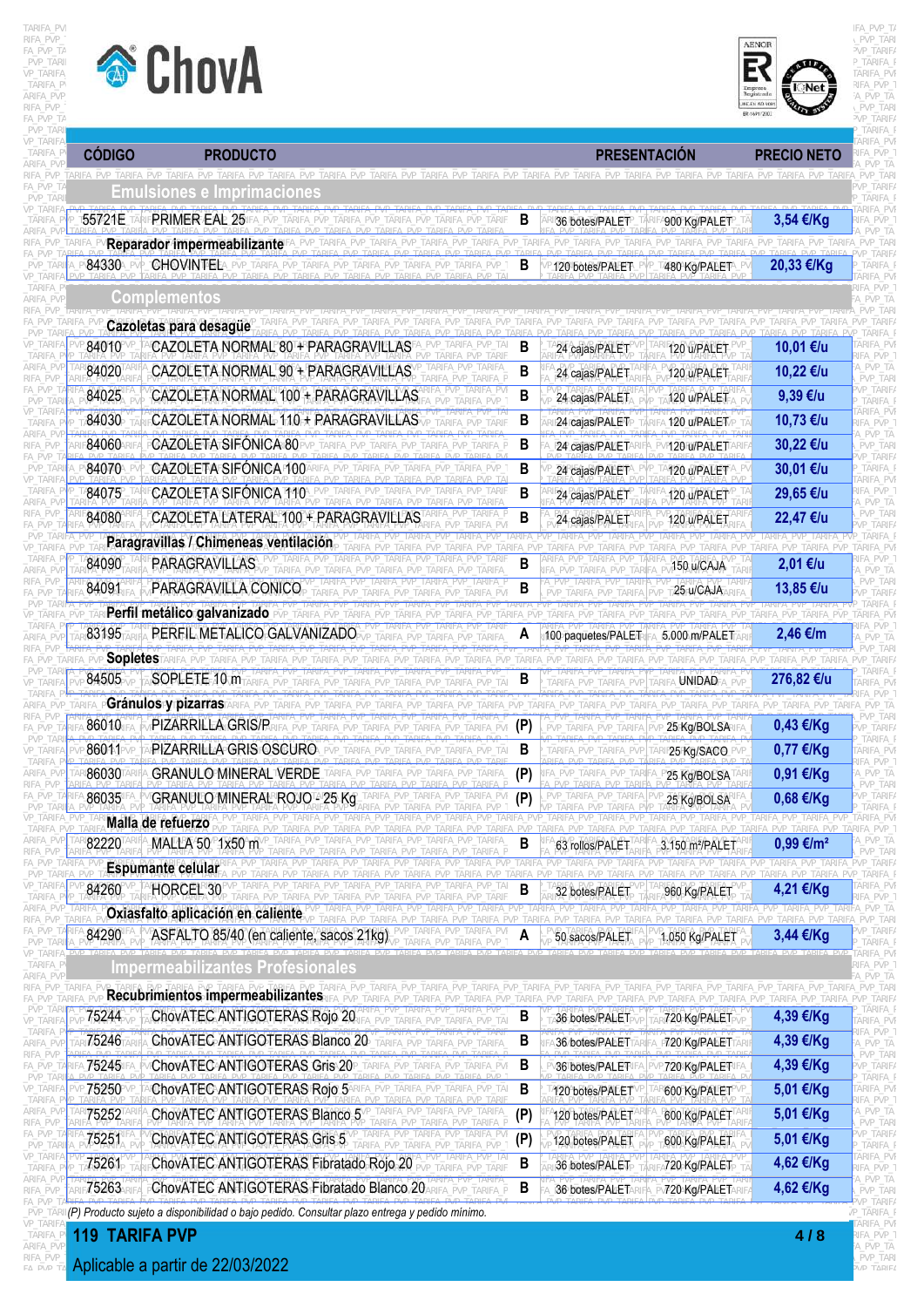





| <b>CÓDIGO</b>  | <b>PRODUCTO</b>                                                                                                                                                                 |              | <b>PRESENTACIÓN</b>                                                                 |                             | <b>PRECIO NETO</b>                                                                    |                              |
|----------------|---------------------------------------------------------------------------------------------------------------------------------------------------------------------------------|--------------|-------------------------------------------------------------------------------------|-----------------------------|---------------------------------------------------------------------------------------|------------------------------|
|                | <b>Emulsiones e Imprimaciones</b>                                                                                                                                               |              |                                                                                     |                             |                                                                                       |                              |
| 55721E         | PRIMER EAL 25                                                                                                                                                                   | В            | 36 botes/PALET                                                                      | 900 Kg/PALET                | 3,54 €/Kg                                                                             |                              |
|                | Reparador impermeabilizante                                                                                                                                                     |              |                                                                                     |                             |                                                                                       |                              |
| 84330          | <b>CHOVINTELA_PVP_</b>                                                                                                                                                          | B            | 120 botes/PALET                                                                     | 480 Kg/PALET                | 20,33 €/Kg                                                                            |                              |
|                | <b>Complementos</b>                                                                                                                                                             |              |                                                                                     |                             |                                                                                       |                              |
|                |                                                                                                                                                                                 |              |                                                                                     |                             |                                                                                       |                              |
| 84010          | Cazoletas para desagüe<br>CAZOLETA NORMAL <sup>8014</sup> PARAGRAVILLAS                                                                                                         | В            | 24 cajas/PALET                                                                      |                             | 10,01 €/u                                                                             |                              |
| 84020          | CAZOLETA NORMAL 90 + PARAGRAVILLAS                                                                                                                                              | B            |                                                                                     | 120 u/PALET                 | 10,22 €/u                                                                             |                              |
| 84025          | CAZOLETA NORMAL 100 + PARAGRAVILLAS                                                                                                                                             | B            | 24 cajas/PALET                                                                      | 120 u/PALET<br>120 u/PALET  | 9,39 €/u                                                                              |                              |
| 84030          | CAZOLETA NORMAL 110 + PARAGRAVILLAS                                                                                                                                             | $\, {\bf B}$ | 24 cajas/PALET<br>24 cajas/PALET                                                    | 120 u/PALET/P               | 10,73 €/u                                                                             |                              |
| 84060          | CAZOLETA SIFÓNICA 80                                                                                                                                                            | B            |                                                                                     |                             | 30,22 €/u                                                                             |                              |
| 84070          | CAZOLETA SIFÓNICA 100                                                                                                                                                           | B            | 24 cajas/PALETA                                                                     | F120 W/PAMET ARII           | 30,01 €/u                                                                             | PVP TARI<br>ARIF/            |
|                |                                                                                                                                                                                 |              | 24 cajas/PALET                                                                      | 120 u/PALET                 |                                                                                       |                              |
| 84075<br>84080 | CAZOLETA SIFÓNICA 110<br>CAZOLETA LATERAL 100 + PARAGRAVILLAS                                                                                                                   | B<br>B       | 24 cajas/PALET                                                                      | 120 u/PALET                 | 29,65 €/u                                                                             |                              |
|                |                                                                                                                                                                                 |              | 24 cajas/PALET                                                                      | 120 u/PALET                 | 22,47 €/u                                                                             |                              |
| 84090          | Paragravillas / Chimeneas ventilación<br>PARAGRAVILLAS                                                                                                                          | B            |                                                                                     |                             | 2,01 €/u                                                                              |                              |
| 84091          | PARAGRAVILLA CONICO                                                                                                                                                             |              |                                                                                     | 150 u/CAJA                  | 13,85 €/u                                                                             |                              |
|                | Perfil metálico galvanizado                                                                                                                                                     |              |                                                                                     | 25 u/CAJA                   |                                                                                       |                              |
| 83195          | PERFIL METALICO GALVANIZADO                                                                                                                                                     |              | 100 paquetes/PALE                                                                   | 5.000 m/PALE                | 2,46 €/m                                                                              |                              |
| Sopletes       |                                                                                                                                                                                 |              |                                                                                     |                             | TARIFA_PVP_TARIF                                                                      |                              |
| 84505          | SOPLETE 10 m                                                                                                                                                                    |              |                                                                                     | UNIDAD                      | 276,82 €/u                                                                            |                              |
|                | Gránulos y pizarras                                                                                                                                                             |              |                                                                                     |                             |                                                                                       |                              |
| 86010          | PIZARRILLA GRIS/P                                                                                                                                                               | (P)          |                                                                                     | 25 Kg/BOLSA                 | 0,43 €/Kg                                                                             |                              |
| 86011          | PIZARRILLA GRIS OSCURO                                                                                                                                                          | B            |                                                                                     | 25 Kg/SACO                  | 0,77 €/Kg                                                                             |                              |
| 86030          | GRANULO MINERAL VERDE                                                                                                                                                           | (P)          |                                                                                     | 25 Kg/BOLSA                 | 0,91 €/Kg                                                                             |                              |
| 86035          | GRANULO MINERAL ROJO - 25 Kg                                                                                                                                                    |              |                                                                                     | 25 Kg/BOLSA                 | 0,68 €/Kg                                                                             |                              |
|                | Malla de refuerzo No TARIFA PVP TA                                                                                                                                              |              |                                                                                     |                             |                                                                                       |                              |
| 82220          | MALLA 50 1x50 m                                                                                                                                                                 | В            | 63 rollos/PALET                                                                     | 3.150 m <sup>2</sup> /PALET | $0,99 \in / m^2$                                                                      | PVP TA                       |
|                | TARIEA PVP TARIEA PVP TARIEA PVP<br><b>Espumante celular</b><br>RIFA PVP TARIFA PVP TARIFA PVP TARIFA PVP                                                                       |              | TARIFA PVP TARIFA PVP TARIFA PVP TARIFA PVP TARIFA PVP TARIFA PVP TARIFA PVP TARIFA |                             | TARIFA PVP TARIFA PVP TARIFA PVP TARIFA PVP TARIFA PVP TARIFA PVP TARIFA F            |                              |
| 84260          | HORCEL 30                                                                                                                                                                       | B            | 32 botes/PALET                                                                      | 960 Kg/PALET                | 4,21 €/Kg                                                                             |                              |
|                | Oxiasfalto aplicación en caliente                                                                                                                                               |              |                                                                                     |                             | TARIFA PVP TARIFA PVP TARIFA PVP TARIF<br>PVP TARIFA PVP TARIFA PVP TARIFA PVP TARIFA | PVP TARI                     |
| 84290          | ASFALTO 85/40 (en caliente, sacos 21                                                                                                                                            |              | 50 sacos/PALE T                                                                     | 1.050 Kg/PALET              | 3,44 €/Kg                                                                             |                              |
|                | Impermeabilizantes Profesionales                                                                                                                                                |              |                                                                                     |                             |                                                                                       | arifa pvi<br>ifa pvp 1       |
|                | ARIFA PVP TARIFA PVP TARIFA PVP TARIFA PVP TARIFA PVP TARIFA PVP TARIFA PVP TARIFA PVP TARIFA PVP TARIFA PVP TARI<br>Recubrimientos impermeabilizantes<br>PVP TARIFA PVP TARIFA |              |                                                                                     |                             | TARIFA PVP TARIFA PVP TARIFA PVP TARIFA PVP TARIFA                                    | . PVP TA                     |
| 75244          | ChovATEC ANTIGOTERAS Rojo 20                                                                                                                                                    | B            | 36 botes/PALET                                                                      | 720 Kg/PALET                | 4,39 €/Kg                                                                             | arifa pvi                    |
| 75246          | ChovATEC ANTIGOTERAS Blanco 20                                                                                                                                                  | B            | 36 botes/PALET                                                                      | 720 Kg/PALET                | 4,39 €/Kg                                                                             | IFA_PVP_1<br><i>A</i> PVP TA |
| 75245          | ChovATEC-ANTIGOTERAS Gris 20                                                                                                                                                    | B            | 36 botes/PALET                                                                      | 720 Kg/PALET                | 4,39 €/Kg                                                                             | PVP_TARI<br>VP_TARIFA        |
| 75250          | ChovATEC ANTIGOTERAS Rojo 5<br>TARIFA PVP TAF                                                                                                                                   | B            | 120 botes/PALET                                                                     | 600 Kg/PALET                | 5,01 €/Kg                                                                             | TARIFA F<br>`ARIFA_PVI       |
| 75252          | ChovATEC ANTIGOTERAS Blanco 5                                                                                                                                                   | (P)          | 120 botes/PALET                                                                     | 600 Kg/PALET                | 5,01 €/Kg                                                                             | IFA_PVP_1<br>A_PVP_TA        |
| 75251          | ChovATEC ANTIGOTERAS Gris 5                                                                                                                                                     | (P)          | 120 botes/PALET                                                                     | 600 Kg/PALET                | 5,01 €/Kg                                                                             | PVP_TARI<br>VP_TARIF/        |
| 75261          | ChovATEC ANTIGOTERAS Fibratado Rojo 20                                                                                                                                          | B            | 36 botes/PALET                                                                      | 720 Kg/PALET                | 4,62 €/Kg                                                                             | TARIFA_F<br>ARIFA_PVF        |
|                |                                                                                                                                                                                 |              |                                                                                     |                             |                                                                                       | IFA_PVP_T<br>A_PVP_TA        |

## \_TARIFA\_PVP\_TARIFA\_PVP\_TARIFA\_PVP\_TARIFA\_PVP\_TARIFA\_PVP\_TARIFA\_PVP\_TARIFA\_PVP\_TARIFA\_PVP\_TARIFA\_PVP\_TARIFA\_PVP\_TARIFA\_PVP\_TARIFA\_PVP\_TARIFA\_PVP\_TARIFA\_PVP\_TARIFA\_PVP\_TARIFA\_PVP\_TARIFA\_PVP\_T ARIFA\_PVP\_TARIFA\_PVP\_TARIFA\_PVP\_TARIFA\_PVP\_TARIFA\_PVP\_TARIFA\_PVP\_TARIFA\_PVP\_TARIFA\_PVP\_TARIFA\_PVP\_TARIFA\_PVP\_TARIFA\_PVP\_TARIFA\_PVP\_TARIFA\_PVP\_TARIFA\_PVP\_TARIFA\_PVP\_TARIFA\_PVP\_TARIFA\_PVP\_TA **119 TARIFA PVP 4 / 8**

RIFA\_PVP\_<mark>,</mark> Aplicable a partir de 22/03/2022 in the contract of the contract of the contract of the contract of the contract of the contract of the contract of the contract of the contract of the contract of the contract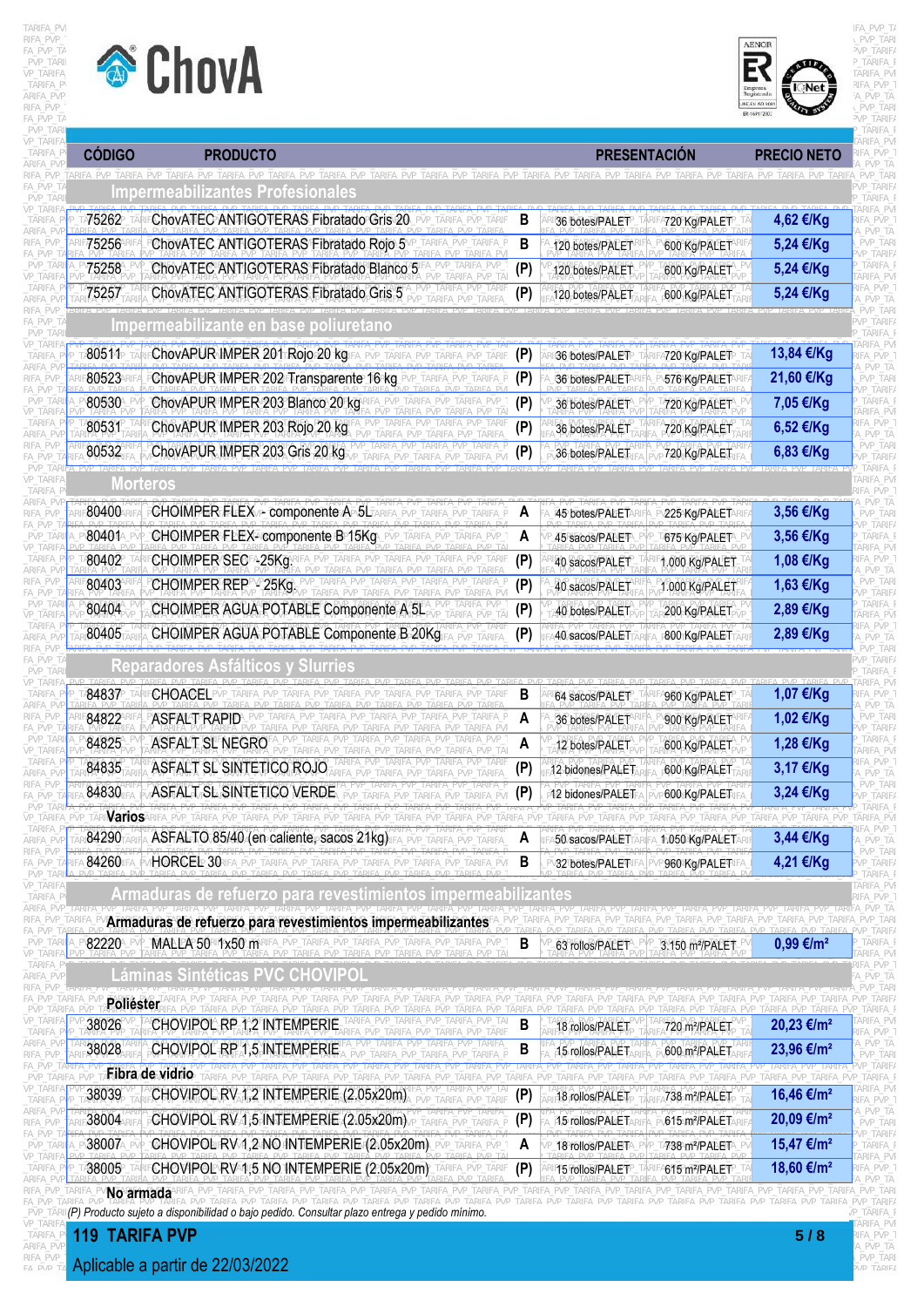



| <b>CÓDIGO</b><br>RIEA PVP TAR  | <b>PRODUCTO</b>                                                                                                                                                                                                                             |     | <b>PRESENTACIÓN</b>                                                                                                                                                              | PRECIO NETO                                                                         | PVP TARI                                    |
|--------------------------------|---------------------------------------------------------------------------------------------------------------------------------------------------------------------------------------------------------------------------------------------|-----|----------------------------------------------------------------------------------------------------------------------------------------------------------------------------------|-------------------------------------------------------------------------------------|---------------------------------------------|
|                                | <u>Impermeabilizantes Profesionales</u>                                                                                                                                                                                                     |     |                                                                                                                                                                                  |                                                                                     | TARIF/                                      |
| 75262                          | ChovATEC ANTIGOTERAS Fibratado Gris 20                                                                                                                                                                                                      | B   | AZ20 Kg/PALET<br>36 botes/PALET                                                                                                                                                  | 4,62 €/Kg                                                                           | FA PVP<br>PVP TA                            |
| 75256                          | ChovATEC ANTIGOTERAS Fibratado Rojo 5                                                                                                                                                                                                       | B   | 120 botes/PALET<br>600 Kg/PALET                                                                                                                                                  | 5,24 €/Kg                                                                           | PVP_TARI<br>P TARIF/                        |
| 75258                          | ChovATEC ANTIGOTERAS Fibratado Blanco 5                                                                                                                                                                                                     | (P) | 120 botes/PALET<br>600 Kg/PALET                                                                                                                                                  | 5,24 €/Kg                                                                           | ARIFA PVI                                   |
| 75257                          | ChovATEC ANTIGOTERAS Fibratado Gris 5                                                                                                                                                                                                       | (P) | 600 Kg/PALET<br>120 botes/PALET                                                                                                                                                  | 5,24 €/Kg                                                                           | FA PVP<br>PVP TA                            |
|                                | ermeabilizante en base poliuretano                                                                                                                                                                                                          |     |                                                                                                                                                                                  |                                                                                     | PVP TAR<br>/P TARIF/                        |
| 80511                          | ChovAPUR IMPER 201 Rojo 20 kg                                                                                                                                                                                                               | (P) | 36 botes/PALET<br>720 Kg/PALET                                                                                                                                                   | 13,84 €/Kg                                                                          | IFA PVP                                     |
| 80523                          | ChovAPUR IMPER 202 Transparente 16 kg                                                                                                                                                                                                       | (P) | 36 botes/PALET<br>576 Kg/PALET                                                                                                                                                   | 21,60 €/Kg                                                                          | PVP TA<br>PVP TARI                          |
| 80530                          | ChovAPUR IMPER 203 Blanco 20 kg                                                                                                                                                                                                             | (P) | 720 Kg/PALET<br>36 botes/PALET                                                                                                                                                   | 7,05 €/Kg                                                                           | P TARIF/<br><b>TARIFA</b>                   |
| 80531                          | ChovAPUR IMPER 203 Rojo 20 kg                                                                                                                                                                                                               | (P) | 720 Kg/PALET<br>36 botes/PALET                                                                                                                                                   | 6,52 €/Kg                                                                           | RIFA PVI<br>PVP TA                          |
| 80532                          | ChovAPUR IMPER 203 Gris 20 kg                                                                                                                                                                                                               | (P) | 36 botes/PALET<br>720 Kg/PALET                                                                                                                                                   | 6,83 €/Kg                                                                           | PVP_TARI                                    |
|                                | <b>Morteros</b>                                                                                                                                                                                                                             |     |                                                                                                                                                                                  |                                                                                     |                                             |
| 80400                          | ARIFA_PVP_TARIFA_PVP_TARIFA_<br>RIFA_PVP_TARIFA_PVP_TARIFA_P<br>CHOIMPER FLEX - componente A 5L                                                                                                                                             | A   | 45 botes/PALET<br>225 Kg/PALET                                                                                                                                                   | 3,56 €/Kg                                                                           | PVP TARI                                    |
| 80401                          | CHOIMPER FLEX-componente B-15Kg                                                                                                                                                                                                             | A   | 45 sacos/PALET<br>675 Kg/PALET                                                                                                                                                   | 3,56 €/Kg                                                                           |                                             |
| 80402                          | CHOIMPER/SECFA-25Kg.                                                                                                                                                                                                                        | (P) | 40 sacos/PALET<br>1.000 Kg/PALET                                                                                                                                                 | 1,08 €/Kg                                                                           | RIFA PVI                                    |
| 80403                          | CHOIMPER REP <sup>2</sup> 25Kg.                                                                                                                                                                                                             | (P) | 40 sacos/PALET<br>1.000 Kg/PALET                                                                                                                                                 | 1,63 €/Kg                                                                           | PVP TA<br>PVP_TARI                          |
| 80404                          | CHOIMPER AGUA POTABLE Componente A 5L                                                                                                                                                                                                       | (P) | 40 botes/PALET<br>200 Kg/PALET                                                                                                                                                   | 2,89 €/Kg                                                                           | 'P TARIFA<br><b>TARIFA</b><br>ARIFA PVI     |
| 80405                          | CHOIMPER AGUA POTABLE Componente B 20Kg                                                                                                                                                                                                     | (P  | 800 Kg/PALET<br>40 sacos/PALET                                                                                                                                                   | 2,89 €/Kg                                                                           | ifa pvp 1<br>. PVP TA                       |
|                                | <u>radores Asfálticos y Slurries</u>                                                                                                                                                                                                        |     |                                                                                                                                                                                  |                                                                                     | 'VP TARI                                    |
| 84837                          | CHOACELP                                                                                                                                                                                                                                    | B   | 960 Kg/PALET<br>64 sacos/PALET                                                                                                                                                   | 1,07 €/Kg                                                                           | IFA_PVP_                                    |
| 84822                          | <b>ASFALT RAPID</b>                                                                                                                                                                                                                         | A   | 900 Kg/PALET<br>36 botes/PALET                                                                                                                                                   | 1,02 €/Kg                                                                           | PVP TA<br>PVP_TARI                          |
| 84825                          | ASFALT SL NEGRO                                                                                                                                                                                                                             | A   | 12 botes/PALET<br>600 Kg/PALET                                                                                                                                                   | 1,28 €/Kg                                                                           | ARIF/                                       |
| 84835                          | ASFALT SL SINTETICO ROJO                                                                                                                                                                                                                    | (P) | 12 bidones/PALET<br>600 Kg/PALET                                                                                                                                                 | 3,17 €/Kg                                                                           | <i><b>IRIFA PVI</b></i><br>FA PVP<br>PVP TA |
| 84830                          | ASFALT SL SINTETICO VERDE                                                                                                                                                                                                                   | (P) | 12 bidones/PALET<br>600 Kg/PALET                                                                                                                                                 | 3,24 €/Kg                                                                           | PVP TARI<br><b>VP TARIE</b>                 |
| VP_TARIFA_PVP_TAR              | IN <mark>ATIOS</mark> ARIFA_PVP_TĀRIFA_PVP_TĀRIFA_PVP_TĀRIFA_PVP_TĀRIFA_PVP_TĀRIFA_PVP_TĀRIFA_PVP_TĀRIFA_PVP_TĀRIFA_PVP_TĀRIFA_PVP_TĀRIFA_PVP_TĀRIFA_PVP_TĀRIFA_PVP_TĀRIFA_PVP_TĀRIFA_PVP_TĀRIFA_PVP_TĀRIFA_PVP_TĀRIFA_PVP_TĀRIFA_PVP_TĀRIF |     |                                                                                                                                                                                  |                                                                                     | `ARIFA F<br>TARIFA PVI                      |
| 84290                          | ASFALTO 85/40 (en caliente, sacos 21kg)                                                                                                                                                                                                     | A   | 1.050 Kg/PALET<br>50 sacos/PALET                                                                                                                                                 | 3,44 €/Kg                                                                           | A PVP TA                                    |
| 84260                          | HORCEL 30 NFA PVP_TARIFA_PVP_TARIFA_PVP_TARIFA_P                                                                                                                                                                                            | B   | 960 Kg/PALET<br><b>32 botes/PALET</b>                                                                                                                                            | 4,21 €/Kg                                                                           | PVP_TARI<br>VP_TARIFA                       |
|                                | Armaduras de refuerzo para revestimientos impermeabilizantes                                                                                                                                                                                |     |                                                                                                                                                                                  |                                                                                     | TARIFA F<br>ARIFA PVF<br>RIFA PVP T         |
|                                | Armaduras de refuerzo para revestimientos impermeabilizantes                                                                                                                                                                                |     |                                                                                                                                                                                  | <b>TARIFA PVP TARIFA PVP TA</b><br>TARIFA PVP TARIFA PVP TARIFA PVP TARIFA PVP TARI |                                             |
| A_P\ <b>82220</b> A            | T <b>MALLPA 50</b> RITY50 mRIFA_PVP_TARIFA_PVP_TARIFA_PVP_TARIFA_PVP_TARIFA_PVP_1<br>RIFA_PVP_TARIFA_PVP_TARIFA_PVP_TARIFA_PVP_TARIFA_PVP_TARIFA_PVP_TARIFA_PVP_TAF                                                                         | В   | 63 rollos/PALET<br>3.150 m <sup>2</sup> /PALET                                                                                                                                   | $0.99 \text{ €/}m^2$                                                                | P TARIFA<br><b>TARIFA F</b><br>\RIFA PVI    |
|                                | Láminas Sintéticas PVC CHOVIPOL                                                                                                                                                                                                             |     |                                                                                                                                                                                  |                                                                                     | :IFA_PVP_1<br>A_PVP_TA                      |
| ea_pvp_tarifa, pv<br>Poliéster | TARIFA_PVP_TARIFA_PVP_TARIFA_PVP<br>.<br>IP TARIFA PVP TARIFA PV <u>P TARIFA PVP TARIFA PVP</u>                                                                                                                                             |     | PVP TARIFA PVP TARIFA PVP TARIFA PVP TARIFA PVP TARIFA PVP TARIFA<br>TARIFA PVP TARIFA PVP TARIFA PVP TARIFA PVP TARIFA PVP TARIFA PVP TARIFA PVP TARIFA PVP TARIFA PVP TARIFA F |                                                                                     | PVP TARI                                    |
| 38026                          | PVP TARIFA PVP TAF<br>CHOVIPOL RP 1,2 INTEMPERIE                                                                                                                                                                                            | B   | 720 m <sup>2</sup> /PALET<br>18 rollos/PALET                                                                                                                                     | 20,23 €/m <sup>2</sup>                                                              | ARIFA PVF<br>IFA_PVP_T                      |
| 38028                          | CHOVIPOL RP 1,5 INTEMPERIE                                                                                                                                                                                                                  | B   | 15 rollos/PALET<br>600 m <sup>2</sup> /PALET                                                                                                                                     | 23,96 €/m <sup>2</sup>                                                              | \_PVP_TA<br>PVP TARI                        |
|                                | Fibra de vidrio<br>ARIFA PVP TARIFA PVP TARIFA PVP TARIFA PVP                                                                                                                                                                               |     |                                                                                                                                                                                  | TARIFA PVP TARIFA PVP TARIFA F                                                      | VP_TARIFA                                   |
| 38039                          | CHOVIPOL RV 1,2 INTEMPERIE (2.05x20m)                                                                                                                                                                                                       | (P) | 18 rollos/PALET<br>738 m <sup>2</sup> /PALET                                                                                                                                     | 16,46 €/m <sup>2</sup>                                                              | arifa pvi<br>IFA_PVP_1                      |
| 38004                          | CHOVIPOL RV 1,5 INTEMPERIE (2.05x20m)                                                                                                                                                                                                       | (P) | 15 rollos/PALET<br>615 m <sup>2</sup> /PALET                                                                                                                                     | 20,09 €/m <sup>2</sup>                                                              | A_PVP_TA<br>PVP_TARI                        |

\_TARIFA\_PVP\_TARIFA\_PVP\_TARIFA\_PVP\_TARIFA\_PVP\_TARIFA\_PVP\_TARIFA\_PVP\_TARIFA\_PVP\_TARIFA\_PVP\_TARIFA\_PVP\_TARIFA\_PVP\_TARIFA\_PVP\_TARIFA\_PVP\_TARIFA\_PVP\_TARIFA\_PVP\_TARIFA\_PVP\_TARIFA\_PVP\_TARIFA\_PVP\_T 38005 CHOVIPOL RV 1,5 NO INTEMPERIE (2.05x20m) **(P)** 15 rollos/PALET 615 m²/PALET **18,60 €/m²** ARIFA\_PVP\_TARIFA\_PVP\_TARIFA\_PVP\_TARIFA\_PVP\_TARIFA\_PVP\_TARIFA\_PVP\_TARIFA\_PVP\_TARIFA\_PVP\_TARIFA\_PVP\_TARIFA\_PVP\_TARIFA\_PVP\_TARIFA\_PVP\_TARIFA\_PVP\_TARIFA\_PVP\_TARIFA\_PVP\_TARIFA\_PVP\_TARIFA\_PVP\_TA RIFA\_PVP\_TARIFA\_PV**NTAVATATA**RIFA\_PVP\_TARIFA\_PVP\_TARIFA\_PVP\_TARIFA\_PVP\_TARIFA\_PVP\_TARIFA\_PVP\_TARIFA\_PVP\_TARIFA\_PVP\_TARIFA\_PVP\_TARIFA\_PVP\_TARIFA\_PVP\_TARIFA\_PVP\_TARIFA\_PVP\_TARIFA\_PVP\_TARIFA\_PVP\_TARIFA\_PVP\_TARIFA\_PVP\_TARIFA\_P FA PVP TAREA DVD TADICA DVD TAREA DVD TAREA DVD TAREA DVD TAREA DVD TAREA DVD TAREA DVD TAREA DVD DAREA DVD TAREA DVD TAREA DVD TAREA DVD TAREA DVD TAREA DVD TAREA DVD TAREA DVD TAREA DVD TAREA DVD TAREA DVD TAREA DVD TARE **No armada**

VP\_TARIFA\_PVP\_TARIFA\_PVP\_TARIFA\_PVP\_TARIFA\_PVP\_TARIFA\_PVP\_TARIFA\_PVP\_TARIFA\_PVP\_TARIFA\_PVP\_TARIFA\_PVP\_TARIFA\_PVP\_TARIFA\_PVP\_TARIFA\_PVP\_TARIFA\_PVP\_TARIFA\_PVP\_TARIFA\_PVP\_TARIFA\_PVP\_TARIFA\_PVP \_TARIFA\_PVP\_TARIFA\_PVP\_TARIFA\_PVP\_TARIFA\_PVP\_TARIFA\_PVP\_TARIFA\_PVP\_TARIFA\_PVP\_TARIFA\_PVP\_TARIFA\_PVP\_TARIFA\_PVP\_TARIFA\_PVP\_TARIFA\_PVP\_TARIFA\_PVP\_TARIFA\_PVP\_TARIFA\_PVP\_TARIFA\_PVP\_TARIFA\_PVP\_T **119 TARIFA PVP 5 / 8** ARIFA\_PVP\_TARIFA\_PVP\_TARIFA\_PVP\_TARIFA\_PVP\_TARIFA\_PVP\_TARIFA\_PVP\_TARIFA\_PVP\_TARIFA\_PVP\_TARIFA\_PVP\_TARIFA\_PVP\_TARIFA\_PVP\_TARIFA\_PVP\_TARIFA\_PVP\_TARIFA\_PVP\_TARIFA\_PVP\_TARIFA\_PVP\_TARIFA\_PVP\_TA

RIFA\_PVP\_<mark>,</mark> Aplicable a partir de 22/03/2022 in the contract of the contract of the contract of the contract of the contract of the contract of the contract of the contract of the contract of the contract of the contract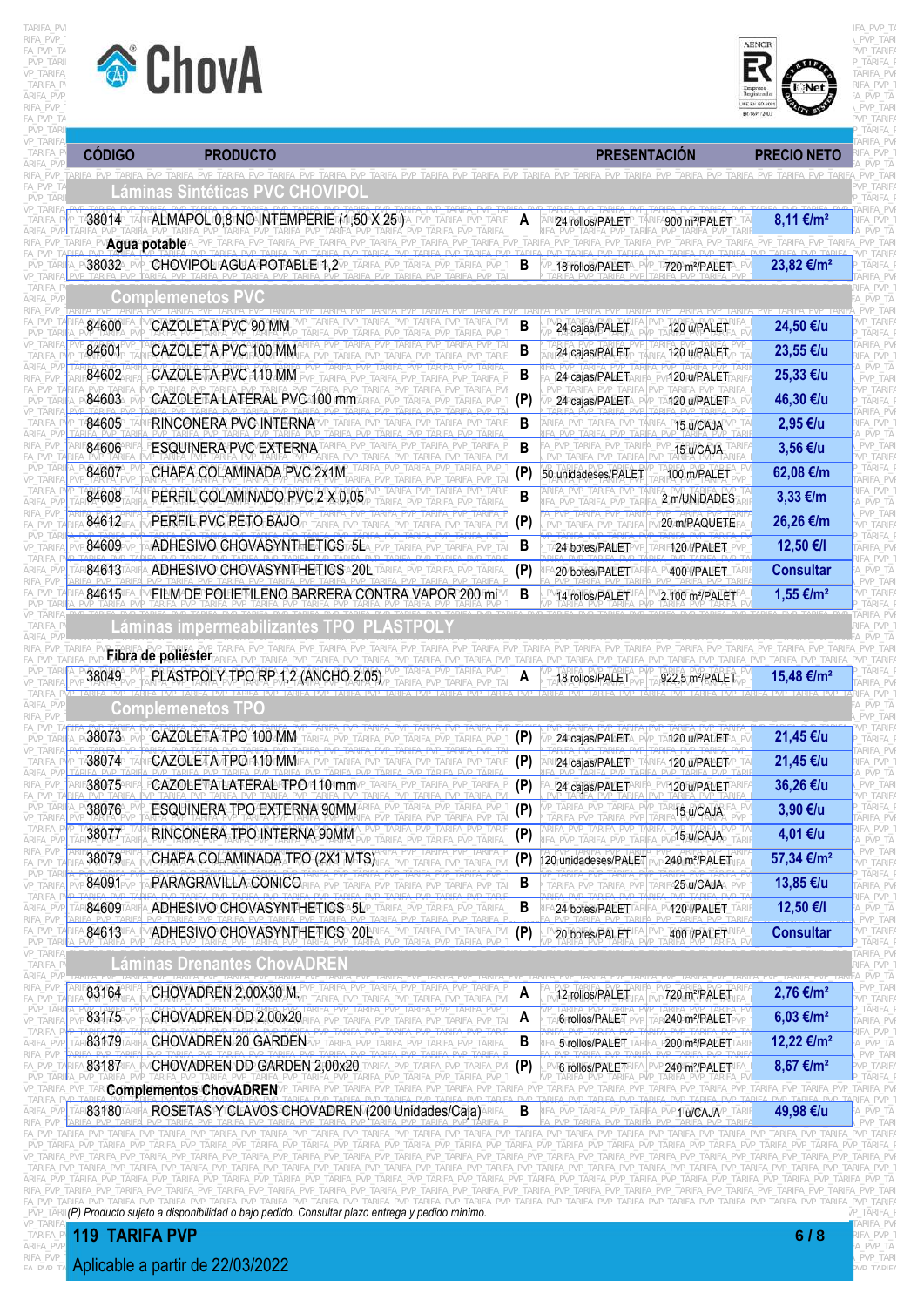



| <b>CÓDIGO</b>  | <b>PRODUCTO</b>                                                                     |          | <b>PRESENTACIÓN</b>                                            |                                       | <b>PRECIO NETO</b>         | \RIFA PVF                                 |
|----------------|-------------------------------------------------------------------------------------|----------|----------------------------------------------------------------|---------------------------------------|----------------------------|-------------------------------------------|
|                | <b>CHOVIPOI</b><br>Laminas Sin <u>téticas PVC</u>                                   |          |                                                                |                                       |                            |                                           |
| 38014          | ALMAPOL 0,8 NO INTEMPERIE (1,50 X 25)                                               |          | 24 rollos/PALET                                                | 900 m?/PALET                          | 8,11 €/m <sup>2</sup>      |                                           |
|                | Agua potable                                                                        |          |                                                                |                                       | TARIFA PVP TAI             |                                           |
| 38032          | CHOVIPOLIAGUA POTABLEI1, 2                                                          | B        | 18 rollos/PALET                                                | 720 m <sup>2</sup> /PALET             | 23,82 €/m <sup>2</sup>     |                                           |
|                | <b>Complemenetos PVC</b>                                                            |          |                                                                |                                       |                            | PVP TA                                    |
| 84600          | CAZOLETA PVC 90 MM                                                                  | B        | 24 cajas/PALET                                                 | 120 u/PALET                           | 24,50 €/u                  | TARI<br>ARIF/                             |
| 84601          | CAZOLETA PVC 100 MM                                                                 | B        | 24 cajas/PALET                                                 | 120 u/PALET                           | 23,55 €/u                  | IFA PVP                                   |
| 84602          | CAZOLETA PVC 110 MM                                                                 | B        | 24 cajas/PALET                                                 | 120 u/PALET                           | 25,33 €/u                  | PVP_TA<br>PVP TARI                        |
| 84603          | CAZOLETA LATERAL PVC 100 mm                                                         | (P)      | 24 cajas/PALETA                                                | <b>1120 u/PALETA</b>                  | 46,30 €/u                  | P_TARIF/<br>TARIFA                        |
| 84605          | RINCONERA PVC INTERNA                                                               | B        |                                                                | P15-u/CAJA                            | 2,95 €/u                   | ARIFA PVI<br>FA PVP                       |
| 84606          | <b>ESQUINERA PVC EXTERNA</b>                                                        | B        |                                                                | 15 u/CAJA                             | 3,56 €/u                   | PVP TA<br>PVP_TARI                        |
| 84607          | CHAPA COLAMINADA PVC 2x1M                                                           | (P)      | 50 unidadeses/PALET                                            | 100 m/PALET                           | 62,08 €/m                  | /P TARIF/                                 |
| 84608          | PERFIL COLAMINADO PVC 2 X 0,05                                                      | B        |                                                                | 2 m/UNIDADES                          | 3,33 €/m                   | \RIFA PVI<br>FA PVP<br><i>A</i> PVP TA    |
| 84612          | PERFIL PVC PETO BAJO                                                                | (P)      |                                                                | 20 m/PAQUETE                          | 26,26 €/m                  | PVP_TARI<br><b>VP TARIFA</b>              |
| 84609          | ADHESIVO CHOVASYNTHETICS 5L                                                         | B        | ∖24 botes/PALET                                                | F <b>420/I/PABET_</b>                 | 12,50 €/I                  | TARIFA I<br>ARIFA_PVI                     |
| 84613          | ADHESIVO CHOVASYNTHETICSA20L TARIFA_PVP_TARIFA                                      | (P)      | 20 botes/PALET                                                 | 400 I/PALET                           | <b>Consultar</b>           | FA PVP<br>_PVP_TA                         |
| 84615          | FILM DE POLIETILENO BARRERA CONTRA VAPOR 200 mi <sup>NU</sup>                       | B        | 14 rollos/PALET                                                | 2.100 m <sup>2</sup> /PALET           | 1,55 €/m <sup>2</sup>      | PVP_TARI<br>vp tarif <i>i</i>             |
| 38049          | Fibra de poliéster<br>PLASTPOLY TPO RP 1,2 (ANCHO 2.05)<br>Complemenetos TPO        |          |                                                                |                                       | 15.48 €/m <del>°</del>     | TARIF/<br>. PVP TA                        |
| 38073          | CAZOLETA TPO 100 MM                                                                 |          |                                                                |                                       | 21,45 €/u                  | TARIF <i>I</i>                            |
|                |                                                                                     | (P)      | 24 cajas/PALET                                                 | 120 u/PALETA                          |                            | rifa pvi                                  |
| 38074<br>38075 | CAZOLETA TPO 110 MM<br>CAZOLETATLATERALFFPO110 mm                                   | (P)      | 24 cajas/PALET                                                 | A_120_u/PALET                         | 21,45 €/u                  | PVP TA<br>PVP_TARI                        |
|                | ESQUINERA TPO EXTERNA 90MM                                                          | (P)      | 24 cajas/PALET                                                 | 120 u/PALET                           | 36,26 €/u                  | 'P TARIFA<br>TARIFA I                     |
| 38076<br>38077 | PVP_TARIFA_PVP_TARIF.<br>RINCONERA TPO INTERNA 90MM                                 | (P)      | ARIFA_PVP_TARIFA_PVP_TARIFA                                    | 15 u/CAJA                             | 3,90 €/u<br>4,01 €/u       | ARIFA PVI<br>IFA_PVP_T                    |
| 38079          | PVP TARIFA PVP TARIFA<br>CHAPA COLAMINADA TPO (2X1 MTS)                             | (P)      | FIFA_PVP_TARIFA_PVP_TARIFA_PVP <sup>15</sup> AVICAJA           |                                       | 57,34 €/m <sup>2</sup>     | A_PVP_TA<br>PVP_TARI                      |
| 84091          | RIFA PVF<br>PARAGRAVILLA CONICO                                                     | (P)<br>B | 120 unidadeses/PALET                                           | 240 m <sup>2</sup> /PALET             | 13,85 €/u                  | VP_TARIFA<br>_TARIFA_F                    |
| 84609          | ADHESIVO CHOVASYNTHETIOSA5LP                                                        | B        | TARIFA PVP TARIFA PVP<br>24 botes/PALET                        | A25\u/CAJA\_PVF                       | 12,50 €/I                  | ARIFA_PVF<br>IFA_PVP_T<br>A_PVP_TA        |
| 84613          | <b>ADHESIVO CHOVASYNTHETICS 20</b> ARIFA_PVP_TARIFA_PVP_TARIFA_PVF                  | (P)      | 20 botes/PALET                                                 | <b>120 VPALET_TAR</b><br>400 I/PALET  | <b>Consultar</b>           | PVP_TARI<br>'VP_TARIFA                    |
|                | Láminas Drenantes ChovADREN                                                         |          |                                                                |                                       |                            | TARIFA F<br>TARIFA_PVF                    |
| 83164          | CHOVADREN 2,00X30 M.                                                                |          | 12 rollos/PALET                                                | 720 m <sup>2</sup> /PALET             | 2,76 €/m <sup>2</sup>      | <b>RIFA_PVP_T</b><br>A_PVP_TA<br>PVP_TARI |
| 83175          | IFA PVP TARIFA PVP TARIFA PVF<br>PVP_TARIFA_PVP_TARIFA_PVP_<br>CHOVADREN DD 2,00x20 | A        | 6 rollos/PALET                                                 | 240 m <sup>2</sup> /PALET             | $6,03 \in$ /m <sup>2</sup> | VP_TARIFA<br>TARIFA_F                     |
| 83179          | ARIFA PVP TARIFA PVP TAF<br><b>CHOVADREN 20 GARDEN</b>                              | B        | 5 rollos/PALET                                                 | P <b>200 m?/PALET</b> T               | 12,22 €/m <sup>2</sup>     | ARIFA PVF<br>RIFA_PVP_T<br>A_PVP_TA       |
| 83187          | CHOVADREN-DD GARDEN 2,00x20<br>'A PVP TARIFA PVP TARIFA PVF                         | (P)      | 6 rollos/PALETR                                                | 240 m <sup>2</sup> /PALE <sub>T</sub> | 8,67 €/m <sup>2</sup>      | PVP_TARI<br>VP_TARIFA                     |
|                | Complementos ChovADREN                                                              |          |                                                                |                                       | TARIFA PVP TARIFA PVP      | <b>TARIFA F</b><br>tarifa_pvi             |
| 83180          | ROSETAS Y CLAVOS CHOVADREN (200 Unidades/Caja) ARIFA                                | B        | RIFA_PVP_TARIFA_PVP_TAR FA_PVP <b>_T\}f@AJA</b> <sup>/P_</sup> |                                       | 49,98 €/u                  | FA_PVP_1<br>A_PVP_TA                      |

RIFA\_PVP\_<mark>tarifa\_pvp\_tarifa\_pvp\_tarifa\_pvp\_tarifa\_pvp\_tarifa\_pvp\_tarifa\_pvp\_tarifa\_pvp\_tarifa\_pvp\_tarifa\_pvp\_tarifa\_pvp\_tarifa\_pvp\_tarifa\_pvp\_tarifa\_pvp\_tarifa\_pvp\_tarifa\_pvp\_tarifa\_pvp\_tarifa\_pvp\_tarifa\_pvp\_tarifa\_pvp\_tar</mark> \_PVP\_TARIFA\_PVP\_TARIFA\_PVP\_TARIFA\_PVP\_TARIFA\_PVP\_TARIFA\_PVP\_TARIFA\_PVP\_TARIFA\_PVP\_TARIFA\_PVP\_TARIFA\_PVP\_TARIFA\_PVP\_TARIFA\_PVP\_TARIFA\_PVP\_TARIFA\_PVP\_TARIFA\_PVP\_TARIFA\_PVP\_TARIFA\_PVP\_TARIFA\_P VP\_TARIFA\_PVP\_TARIFA\_PVP\_TARIFA\_PVP\_TARIFA\_PVP\_TARIFA\_PVP\_TARIFA\_PVP\_TARIFA\_PVP\_TARIFA\_PVP\_TARIFA\_PVP\_TARIFA\_PVP\_TARIFA\_PVP\_TARIFA\_PVP\_TARIFA\_PVP\_TARIFA\_PVP\_TARIFA\_PVP\_TARIFA\_PVP\_TARIFA\_PVP\_TARIFA\_PVP\_TARIFA\_PVP\_TARIFA\_PVP ARIFA\_PVP\_TARIFA\_PVP\_TARIFA\_PVP\_TARIFA\_PVP\_TARIFA\_PVP\_TARIFA\_PVP\_TARIFA\_PVP\_TARIFA\_PVP\_TARIFA\_PVP\_TARIFA\_PVP\_TARIFA\_PVP\_TARIFA\_PVP\_TARIFA\_PVP\_TARIFA\_PVP\_TARIFA\_PVP\_TARIFA\_PVP\_TARIFA\_PVP\_TARIFA\_PVP\_TARIFA\_PVP\_TARIFA\_PVP\_TA

\_PVP\_TARII(**P) Producto sujeto a disponibilidad o bajo pedido. Consultar plazo entrega y pedido mínimo.** Antita de anterior anterior anterior anterior and the technical products are the technical products of  $P$ \_TARIFA\_F a VP\_TARIFA\_PVP\_TARIFA\_PVP\_TARIFA\_PVP\_TARIFA\_PVP\_TARIFA\_PVP\_TARIFA\_PVP\_TARIFA\_PVP\_TARIFA\_PVP\_TARIFA\_PVP\_TARIFA\_PVP\_TARIFA\_PVP\_TARIFA\_PVP\_TARIFA\_PVP\_TARIFA\_PVP\_TARIFA\_PVP\_TARIFA\_PVP\_TARIFA\_PVP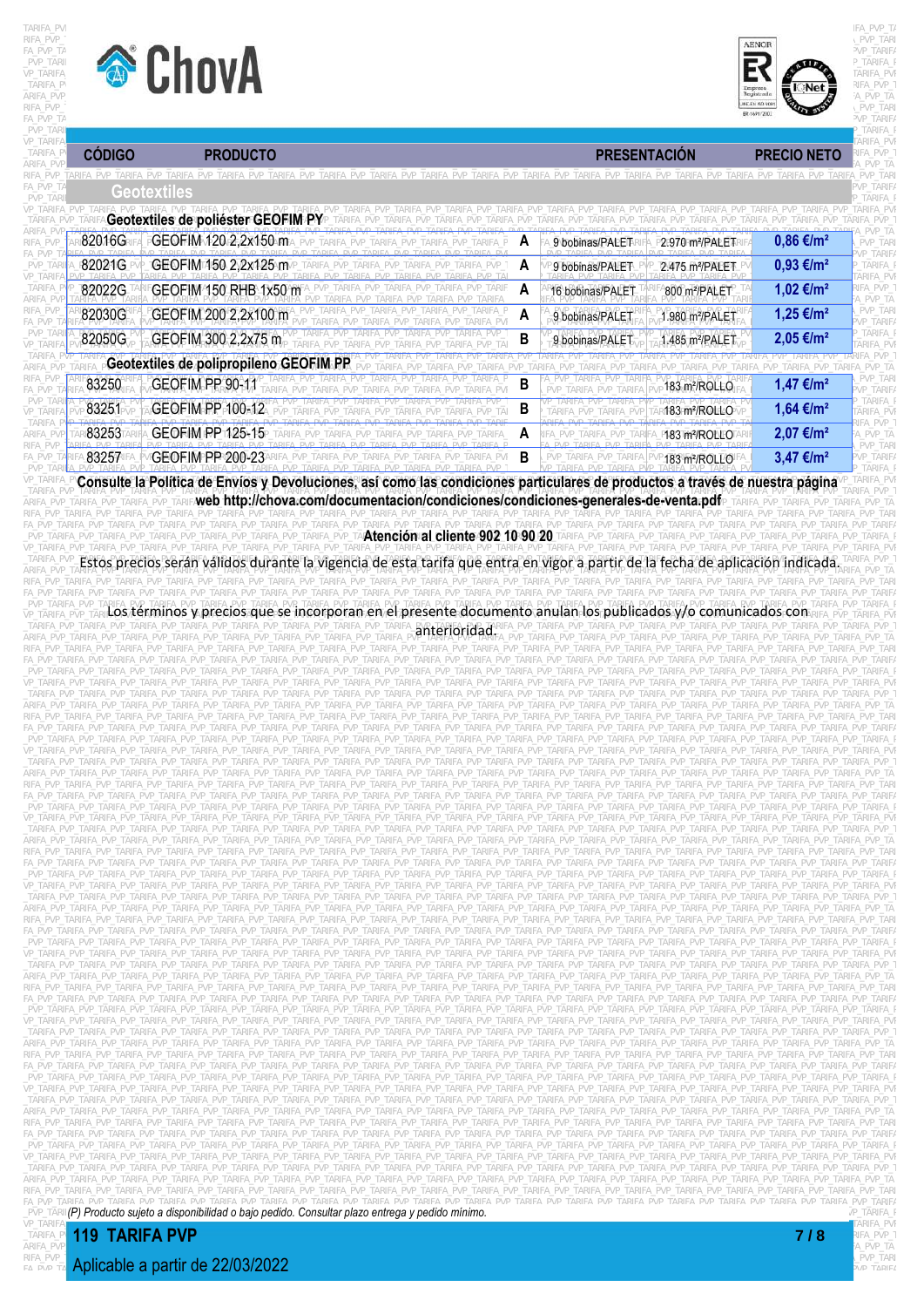



VP\_TARIFA\_PVP\_TARIFA\_PVP\_TARIFA\_PVP\_TARIFA\_PVP\_TARIFA\_PVP\_TARIFA\_PVP\_TARIFA\_PVP\_TARIFA\_PVP\_TARIFA\_PVP\_TARIFA\_PVP\_TARIFA\_PVP\_TARIFA\_PVP\_TARIFA\_PVP\_TARIFA\_PVP\_TARIFA\_PVP\_TARIFA\_PVP\_TARIFA\_PVP

## <u>, TAREALM</u> CÓDIGO **en producto** en la computación de **presentación presentación precio neto de** presentación de presentación de presentación de presentación de presentación de presentación de presentación de presentación

|  |  | DIES DUR TADIES DUR TADIES DUR TADIES DUR TADIES DUR TADIES DUR TADIES DUR TADIES DUR TADIES DUR TADIES DUR TADIES DUR TADIES DUR TADIES DUR TADIES DUR TADIES DUR TADIES DUR TADIES PUR<br>IFA PVP TAKIFA PVP TAKIFA PVP TAKIFA PVP TAKIFA PVP TAKIFA PVP TAKIFA PVP TAKIFA PVP TAKIFA PVP TAKIFA PVP TAKIFA PVP TAKIFA PVP TAKIFA PVP TAKIFA PVP TAKIFA PVP TAKIFA PVP TAKIFA PVP TAKIFA PVP TAKIFA PVP TAKIFA PVP TAKIF |  |  |  |  |  |  |  |  |  |
|--|--|----------------------------------------------------------------------------------------------------------------------------------------------------------------------------------------------------------------------------------------------------------------------------------------------------------------------------------------------------------------------------------------------------------------------------|--|--|--|--|--|--|--|--|--|
|  |  |                                                                                                                                                                                                                                                                                                                                                                                                                            |  |  |  |  |  |  |  |  |  |

|        | <b>Geotextiles</b>                     |   |                                                  |                            | VP TARIFA                            |
|--------|----------------------------------------|---|--------------------------------------------------|----------------------------|--------------------------------------|
|        | Geotextiles de poliéster GEOFIM PY     |   |                                                  |                            |                                      |
| 82016G | GEOFIM 120 2,2x150 m                   | A | 2.970 m <sup>2</sup> /PALETRI<br>9 bobinas/PALET | $0,86 \in$ /m <sup>2</sup> |                                      |
| 82021G | GEOFIM 450 2,2x125 m                   | A | 9 bobinas/PALET<br>2.475 m <sup>2</sup> /PALET   | $0,93 \in$ /m <sup>2</sup> | TARIFA I<br>ARIFA PV                 |
| 82022G | GEOFIM450 RHB 1x50 m                   | A | 800 m <sup>2</sup> /PALET<br>16 bobinas/PALET    | 1,02 €/m <sup>2</sup>      | <b>RIFA_PVP_T</b><br><i>A</i> PVP TA |
| 82030G | GEOFIM 200 2,2x100 m                   | A | 9 bobinas/PALET<br>1.980 m <sup>2</sup> /PALET   | 1,25 €/m <sup>2</sup>      | PVP_TARI<br>VP TARIF/                |
| 82050G | GEOFIM 300 2,2x75 m                    | B | 1.485 m <sup>2</sup> /PALET<br>9 bobinas/PALET   | 2,05 €/m <sup>2</sup>      | _TARIFA_F<br>ARIFA PVI               |
|        | Geotextiles de polipropileno GEOFIM PP |   |                                                  |                            |                                      |
| 83250  | GEOFIM PP 90-11                        | В | 183 m <sup>2</sup> /ROLLO                        | 1,47 €/m <sup>2</sup>      | PVP TAR<br>VP TARIF/                 |
| 83251  | <b>GEOFIM PP 100-12</b>                | B | 183 m <sup>2</sup> /ROLLO                        | 1,64 €/m <sup>2</sup>      | <b>TARIFA</b><br>ARIFA PVI           |
| 83253  | <b>GEOFIM PP 125-15</b>                |   | 183 m <sup>2</sup> /ROLLO                        | $2,07$ €/m <sup>2</sup>    | ifa pvp<br>A_PVP_TA                  |
| 83257  | GEOFIM PP 200-23                       | B | 183 m <sup>2</sup> /ROLLO                        | $3,47 \in$ /m <sup>2</sup> | PVP TAR<br><b>VP TARIF</b>           |

VE TARIFA PYCONSulte la Política de Envíos y Devoluciones, así como las condiciones particulares de productos a través de nuestra página PTARIFA PYCONSUL \_TARIFA\_PVP\_TARIFA\_PVP\_TARIFA\_PVP\_TARIFA\_PVP\_TARIFA\_PVP\_TARIFA\_PVP\_TARIFA\_PVP\_TARIFA\_PVP\_TARIFA\_PVP\_TARIFA\_PVP\_TARIFA\_PVP\_TARIFA\_PVP\_TARIFA\_PVP\_TARIFA\_PVP\_TARIFA\_PVP\_TARIFA\_PVP\_TARIFA\_PVP\_TARIFA\_PVP\_TARIFA\_PVP\_TARIFA\_PVP\_T RIFA\_PVP\_TARIFA\_PVP\_TARIFA\_PVP\_TARIFA\_PVP\_TARIFA\_PVP\_TARIFA\_PVP\_TARIFA\_PVP\_TARIFA\_PVP\_TARIFA\_PVP\_TARIFA\_PVP\_TARIFA\_PVP\_TARIFA\_PVP\_TARIFA\_PVP\_TARIFA\_PVP\_TARIFA\_PVP\_TARIFA\_PVP\_TARIFA\_PVP\_TARI

FA\_PVP\_TARIFA\_PVP\_TARIFA\_PVP\_TARIFA\_PVP\_TARIFA\_PVP\_TARIFA\_PVP\_TARIFA\_PVP\_TARIFA\_PVP\_TARIFA\_PVP\_TARIFA\_PVP\_TARIFA\_PVP\_TARIFA\_PVP\_TARIFA\_PVP\_TARIFA\_PVP\_TARIFA\_PVP\_TARIFA\_PVP\_TARIFA\_PVP\_TARIFA PVP\_TARIFA\_PVP\_TARIFA\_PVP\_TARIFA\_PVP\_TARIFA\_PVP\_TARIFA\_PVP\_TARIFA\_PVP\_TARIFA\_PVP\_**TARIFA\_POP\_DOP\_TARIFA\_PVP\_TARIFA\_PVP\_TARIFA\_PVP\_TARIFA\_PVP\_TARIFA\_PVP\_TARIFA\_PVP\_TARIFA\_PVP\_TARIFA\_PVP\_TARIFA\_PVP\_TARIFA\_PVP\_TARIFA\_PVP\_TARI** 

VP\_TARIFA\_PVP\_TARIFA\_PVP\_TARIFA\_PVP\_TARIFA\_PVP\_TARIFA\_PVP\_TARIFA\_PVP\_TARIFA\_PVP\_TARIFA\_PVP\_TARIFA\_PVP\_TARIFA\_PVP\_TARIFA\_PVP\_TARIFA\_PVP\_TARIFA\_PVP\_TARIFA\_PVP\_TARIFA\_PVP\_TARIFA\_PVP\_TARIFA\_PVP

TARIFA PVP Estos precios serán válidos durante la vigencia de esta tarifa que entra en vigor a partir de la fecha de aplicación indicada, TARIFA PVP TA RIFA\_PVP\_TARIFA\_PVP\_TARIFA\_PVP\_TARIFA\_PVP\_TARIFA\_PVP\_TARIFA\_PVP\_TARIFA\_PVP\_TARIFA\_PVP\_TARIFA\_PVP\_TARIFA\_PVP\_TARIFA\_PVP\_TARIFA\_PVP\_TARIFA\_PVP\_TARIFA\_PVP\_TARIFA\_PVP\_TARIFA\_PVP\_TARIFA\_PVP\_TARI FA\_PVP\_TARIFA\_PVP\_TARIFA\_PVP\_TARIFA\_PVP\_TARIFA\_PVP\_TARIFA\_PVP\_TARIFA\_PVP\_TARIFA\_PVP\_TARIFA\_PVP\_TARIFA\_PVP\_TARIFA\_PVP\_TARIFA\_PVP\_TARIFA\_PVP\_TARIFA\_PVP\_TARIFA\_PVP\_TARIFA\_PVP\_TARIFA\_PVP\_TARIFA

\_PVP\_TARIFA\_PVP\_TARIFA\_PVP\_TARIFA\_PVP\_TARIFA\_PVP\_TARIFA\_PVP\_TARIFA\_PVP\_TARIFA\_PVP\_TARIFA\_PVP\_TARIFA\_PVP\_TARIFA\_PVP\_TARIFA\_PVP\_TARIFA\_PVP\_TARIFA\_PVP\_TARIFA\_PVP\_TARIFA\_PVP\_TARIFA\_PVP\_TARIFA\_PVP\_TARIFA\_PVP\_TARIFA\_PVP\_TARIFA\_P \_TARIFA\_PVP\_TARIFA\_PVP\_TARIFA\_PVP\_TARIFA\_PVP\_TARIFA\_PVP\_TARIFA\_PVP\_TARIFA\_PVP\_TARIFA\_PVP\_TARIFA\_PVP\_TARIFA\_PVP\_TARIFA\_PVP\_TARIFA\_PVP\_TARIFA\_PVP\_TARIFA\_PVP\_TARIFA\_PVP\_TARIFA\_PVP\_TARIFA\_PVP\_T ARIFA\_PVP\_TARIFA\_PVP\_TARIFA\_PVP\_TARIFA\_PVP\_TARIFA\_PVP\_TARIFA\_PVP\_TARIFA\_PVP\_TARIFA\_PVP\_TARIFA\_PVP\_TARIFA\_PVP\_TARIFA\_PVP\_TARIFA\_PVP\_TARIFA\_PVP\_TARIFA\_PVP\_TARIFA\_PVP\_TARIFA\_PVP\_TARIFA\_PVP\_TA RIFA\_PVP\_TARIFA\_PVP\_TARIFA\_PVP\_TARIFA\_PVP\_TARIFA\_PVP\_TARIFA\_PVP\_TARIFA\_PVP\_TARIFA\_PVP\_TARIFA\_PVP\_TARIFA\_PVP\_TARIFA\_PVP\_TARIFA\_PVP\_TARIFA\_PVP\_TARIFA\_PVP\_TARIFA\_PVP\_TARIFA\_PVP\_TARIFA\_PVP\_TARI FA\_PVP\_TARIFA\_PVP\_TARIFA\_PVP\_TARIFA\_PVP\_TARIFA\_PVP\_TARIFA\_PVP\_TARIFA\_PVP\_TARIFA\_PVP\_TARIFA\_PVP\_TARIFA\_PVP\_TARIFA\_PVP\_TARIFA\_PVP\_TARIFA\_PVP\_TARIFA\_PVP\_TARIFA\_PVP\_TARIFA\_PVP\_TARIFA\_PVP\_TARIFA \_PVP\_TARIFA\_PVP\_TARIFA\_PVP\_TARIFA\_PVP\_TARIFA\_PVP\_TARIFA\_PVP\_TARIFA\_PVP\_TARIFA\_PVP\_TARIFA\_PVP\_TARIFA\_PVP\_TARIFA\_PVP\_TARIFA\_PVP\_TARIFA\_PVP\_TARIFA\_PVP\_TARIFA\_PVP\_TARIFA\_PVP\_TARIFA\_PVP\_TARIFA\_P VP\_TARIFA\_PVP\_TARIFA\_PVP\_TARIFA\_PVP\_TARIFA\_PVP\_TARIFA\_PVP\_TARIFA\_PVP\_TARIFA\_PVP\_TARIFA\_PVP\_TARIFA\_PVP\_TARIFA\_PVP\_TARIFA\_PVP\_TARIFA\_PVP\_TARIFA\_PVP\_TARIFA\_PVP\_TARIFA\_PVP\_TARIFA\_PVP\_TARIFA\_PVP \_TARIFA\_PVP\_TARIFA\_PVP\_TARIFA\_PVP\_TARIFA\_PVP\_TARIFA\_PVP\_TARIFA\_PVP\_TARIFA\_PVP\_TARIFA\_PVP\_TARIFA\_PVP\_TARIFA\_PVP\_TARIFA\_PVP\_TARIFA\_PVP\_TARIFA\_PVP\_TARIFA\_PVP\_TARIFA\_PVP\_TARIFA\_PVP\_TARIFA\_PVP\_T ARIFA\_PVP\_TARIFA\_PVP\_TARIFA\_PVP\_TARIFA\_PVP\_TARIFA\_PVP\_TARIFA\_PVP\_TARIFA\_PVP\_TARIFA\_PVP\_TARIFA\_PVP\_TARIFA\_PVP\_TARIFA\_PVP\_TARIFA\_PVP\_TARIFA\_PVP\_TARIFA\_PVP\_TARIFA\_PVP\_TARIFA\_PVP\_TARIFA\_PVP\_TA anterioridad.

RIFA\_PVP\_TARIFA\_PVP\_TARIFA\_PVP\_TARIFA\_PVP\_TARIFA\_PVP\_TARIFA\_PVP\_TARIFA\_PVP\_TARIFA\_PVP\_TARIFA\_PVP\_TARIFA\_PVP\_TARIFA\_PVP\_TARIFA\_PVP\_TARIFA\_PVP\_TARIFA\_PVP\_TARIFA\_PVP\_TARIFA\_PVP\_TARIFA\_PVP\_TARI FA\_PVP\_TARIFA\_PVP\_TARIFA\_PVP\_TARIFA\_PVP\_TARIFA\_PVP\_TARIFA\_PVP\_TARIFA\_PVP\_TARIFA\_PVP\_TARIFA\_PVP\_TARIFA\_PVP\_TARIFA\_PVP\_TARIFA\_PVP\_TARIFA\_PVP\_TARIFA\_PVP\_TARIFA\_PVP\_TARIFA\_PVP\_TARIFA\_PVP\_TARIFA \_PVP\_TARIFA\_PVP\_TARIFA\_PVP\_TARIFA\_PVP\_TARIFA\_PVP\_TARIFA\_PVP\_TARIFA\_PVP\_TARIFA\_PVP\_TARIFA\_PVP\_TARIFA\_PVP\_TARIFA\_PVP\_TARIFA\_PVP\_TARIFA\_PVP\_TARIFA\_PVP\_TARIFA\_PVP\_TARIFA\_PVP\_TARIFA\_PVP\_TARIFA\_P VP\_TARIFA\_PVP\_TARIFA\_PVP\_TARIFA\_PVP\_TARIFA\_PVP\_TARIFA\_PVP\_TARIFA\_PVP\_TARIFA\_PVP\_TARIFA\_PVP\_TARIFA\_PVP\_TARIFA\_PVP\_TARIFA\_PVP\_TARIFA\_PVP\_TARIFA\_PVP\_TARIFA\_PVP\_TARIFA\_PVP\_TARIFA\_PVP\_TARIFA\_PVP \_TARIFA\_PVP\_TARIFA\_PVP\_TARIFA\_PVP\_TARIFA\_PVP\_TARIFA\_PVP\_TARIFA\_PVP\_TARIFA\_PVP\_TARIFA\_PVP\_TARIFA\_PVP\_TARIFA\_PVP\_TARIFA\_PVP\_TARIFA\_PVP\_TARIFA\_PVP\_TARIFA\_PVP\_TARIFA\_PVP\_TARIFA\_PVP\_TARIFA\_PVP\_T ARIFA\_PVP\_TARIFA\_PVP\_TARIFA\_PVP\_TARIFA\_PVP\_TARIFA\_PVP\_TARIFA\_PVP\_TARIFA\_PVP\_TARIFA\_PVP\_TARIFA\_PVP\_TARIFA\_PVP\_TARIFA\_PVP\_TARIFA\_PVP\_TARIFA\_PVP\_TARIFA\_PVP\_TARIFA\_PVP\_TARIFA\_PVP\_TARIFA\_PVP\_TA RIFA\_PVP\_TARIFA\_PVP\_TARIFA\_PVP\_TARIFA\_PVP\_TARIFA\_PVP\_TARIFA\_PVP\_TARIFA\_PVP\_TARIFA\_PVP\_TARIFA\_PVP\_TARIFA\_PVP\_TARIFA\_PVP\_TARIFA\_PVP\_TARIFA\_PVP\_TARIFA\_PVP\_TARIFA\_PVP\_TARIFA\_PVP\_TARIFA\_PVP\_TARI FA\_PVP\_TARIFA\_PVP\_TARIFA\_PVP\_TARIFA\_PVP\_TARIFA\_PVP\_TARIFA\_PVP\_TARIFA\_PVP\_TARIFA\_PVP\_TARIFA\_PVP\_TARIFA\_PVP\_TARIFA\_PVP\_TARIFA\_PVP\_TARIFA\_PVP\_TARIFA\_PVP\_TARIFA\_PVP\_TARIFA\_PVP\_TARIFA\_PVP\_TARIFA \_PVP\_TARIFA\_PVP\_TARIFA\_PVP\_TARIFA\_PVP\_TARIFA\_PVP\_TARIFA\_PVP\_TARIFA\_PVP\_TARIFA\_PVP\_TARIFA\_PVP\_TARIFA\_PVP\_TARIFA\_PVP\_TARIFA\_PVP\_TARIFA\_PVP\_TARIFA\_PVP\_TARIFA\_PVP\_TARIFA\_PVP\_TARIFA\_PVP\_TARIFA\_P VP\_TARIFA\_PVP\_TARIFA\_PVP\_TARIFA\_PVP\_TARIFA\_PVP\_TARIFA\_PVP\_TARIFA\_PVP\_TARIFA\_PVP\_TARIFA\_PVP\_TARIFA\_PVP\_TARIFA\_PVP\_TARIFA\_PVP\_TARIFA\_PVP\_TARIFA\_PVP\_TARIFA\_PVP\_TARIFA\_PVP\_TARIFA\_PVP\_TARIFA\_PVP \_TARIFA\_PVP\_TARIFA\_PVP\_TARIFA\_PVP\_TARIFA\_PVP\_TARIFA\_PVP\_TARIFA\_PVP\_TARIFA\_PVP\_TARIFA\_PVP\_TARIFA\_PVP\_TARIFA\_PVP\_TARIFA\_PVP\_TARIFA\_PVP\_TARIFA\_PVP\_TARIFA\_PVP\_TARIFA\_PVP\_TARIFA\_PVP\_TARIFA\_PVP\_T ARIFA\_PVP\_TARIFA\_PVP\_TARIFA\_PVP\_TARIFA\_PVP\_TARIFA\_PVP\_TARIFA\_PVP\_TARIFA\_PVP\_TARIFA\_PVP\_TARIFA\_PVP\_TARIFA\_PVP\_TARIFA\_PVP\_TARIFA\_PVP\_TARIFA\_PVP\_TARIFA\_PVP\_TARIFA\_PVP\_TARIFA\_PVP\_TARIFA\_PVP\_TA RIFA\_PVP\_TARIFA\_PVP\_TARIFA\_PVP\_TARIFA\_PVP\_TARIFA\_PVP\_TARIFA\_PVP\_TARIFA\_PVP\_TARIFA\_PVP\_TARIFA\_PVP\_TARIFA\_PVP\_TARIFA\_PVP\_TARIFA\_PVP\_TARIFA\_PVP\_TARIFA\_PVP\_TARIFA\_PVP\_TARIFA\_PVP\_TARIFA\_PVP\_TARI FA\_PVP\_TARIFA\_PVP\_TARIFA\_PVP\_TARIFA\_PVP\_TARIFA\_PVP\_TARIFA\_PVP\_TARIFA\_PVP\_TARIFA\_PVP\_TARIFA\_PVP\_TARIFA\_PVP\_TARIFA\_PVP\_TARIFA\_PVP\_TARIFA\_PVP\_TARIFA\_PVP\_TARIFA\_PVP\_TARIFA\_PVP\_TARIFA\_PVP\_TARIFA \_PVP\_TARIFA\_PVP\_TARIFA\_PVP\_TARIFA\_PVP\_TARIFA\_PVP\_TARIFA\_PVP\_TARIFA\_PVP\_TARIFA\_PVP\_TARIFA\_PVP\_TARIFA\_PVP\_TARIFA\_PVP\_TARIFA\_PVP\_TARIFA\_PVP\_TARIFA\_PVP\_TARIFA\_PVP\_TARIFA\_PVP\_TARIFA\_PVP\_TARIFA\_P VP\_TARIFA\_PVP\_TARIFA\_PVP\_TARIFA\_PVP\_TARIFA\_PVP\_TARIFA\_PVP\_TARIFA\_PVP\_TARIFA\_PVP\_TARIFA\_PVP\_TARIFA\_PVP\_TARIFA\_PVP\_TARIFA\_PVP\_TARIFA\_PVP\_TARIFA\_PVP\_TARIFA\_PVP\_TARIFA\_PVP\_TARIFA\_PVP\_TARIFA\_PVP \_TARIFA\_PVP\_TARIFA\_PVP\_TARIFA\_PVP\_TARIFA\_PVP\_TARIFA\_PVP\_TARIFA\_PVP\_TARIFA\_PVP\_TARIFA\_PVP\_TARIFA\_PVP\_TARIFA\_PVP\_TARIFA\_PVP\_TARIFA\_PVP\_TARIFA\_PVP\_TARIFA\_PVP\_TARIFA\_PVP\_TARIFA\_PVP\_TARIFA\_PVP\_T ARIFA\_PVP\_TARIFA\_PVP\_TARIFA\_PVP\_TARIFA\_PVP\_TARIFA\_PVP\_TARIFA\_PVP\_TARIFA\_PVP\_TARIFA\_PVP\_TARIFA\_PVP\_TARIFA\_PVP\_TARIFA\_PVP\_TARIFA\_PVP\_TARIFA\_PVP\_TARIFA\_PVP\_TARIFA\_PVP\_TARIFA\_PVP\_TARIFA\_PVP\_TA RIFA\_PVP\_TARIFA\_PVP\_TARIFA\_PVP\_TARIFA\_PVP\_TARIFA\_PVP\_TARIFA\_PVP\_TARIFA\_PVP\_TARIFA\_PVP\_TARIFA\_PVP\_TARIFA\_PVP\_TARIFA\_PVP\_TARIFA\_PVP\_TARIFA\_PVP\_TARIFA\_PVP\_TARIFA\_PVP\_TARIFA\_PVP\_TARIFA\_PVP\_TARI FA\_PVP\_TARIFA\_PVP\_TARIFA\_PVP\_TARIFA\_PVP\_TARIFA\_PVP\_TARIFA\_PVP\_TARIFA\_PVP\_TARIFA\_PVP\_TARIFA\_PVP\_TARIFA\_PVP\_TARIFA\_PVP\_TARIFA\_PVP\_TARIFA\_PVP\_TARIFA\_PVP\_TARIFA\_PVP\_TARIFA\_PVP\_TARIFA\_PVP\_TARIFA \_PVP\_TARIFA\_PVP\_TARIFA\_PVP\_TARIFA\_PVP\_TARIFA\_PVP\_TARIFA\_PVP\_TARIFA\_PVP\_TARIFA\_PVP\_TARIFA\_PVP\_TARIFA\_PVP\_TARIFA\_PVP\_TARIFA\_PVP\_TARIFA\_PVP\_TARIFA\_PVP\_TARIFA\_PVP\_TARIFA\_PVP\_TARIFA\_PVP\_TARIFA\_P VP\_TARIFA\_PVP\_TARIFA\_PVP\_TARIFA\_PVP\_TARIFA\_PVP\_TARIFA\_PVP\_TARIFA\_PVP\_TARIFA\_PVP\_TARIFA\_PVP\_TARIFA\_PVP\_TARIFA\_PVP\_TARIFA\_PVP\_TARIFA\_PVP\_TARIFA\_PVP\_TARIFA\_PVP\_TARIFA\_PVP\_TARIFA\_PVP\_TARIFA\_PVP \_TARIFA\_PVP\_TARIFA\_PVP\_TARIFA\_PVP\_TARIFA\_PVP\_TARIFA\_PVP\_TARIFA\_PVP\_TARIFA\_PVP\_TARIFA\_PVP\_TARIFA\_PVP\_TARIFA\_PVP\_TARIFA\_PVP\_TARIFA\_PVP\_TARIFA\_PVP\_TARIFA\_PVP\_TARIFA\_PVP\_TARIFA\_PVP\_TARIFA\_PVP\_T ARIFA\_PVP\_TARIFA\_PVP\_TARIFA\_PVP\_TARIFA\_PVP\_TARIFA\_PVP\_TARIFA\_PVP\_TARIFA\_PVP\_TARIFA\_PVP\_TARIFA\_PVP\_TARIFA\_PVP\_TARIFA\_PVP\_TARIFA\_PVP\_TARIFA\_PVP\_TARIFA\_PVP\_TARIFA\_PVP\_TARIFA\_PVP\_TARIFA\_PVP\_TA RIFA\_PVP\_TARIFA\_PVP\_TARIFA\_PVP\_TARIFA\_PVP\_TARIFA\_PVP\_TARIFA\_PVP\_TARIFA\_PVP\_TARIFA\_PVP\_TARIFA\_PVP\_TARIFA\_PVP\_TARIFA\_PVP\_TARIFA\_PVP\_TARIFA\_PVP\_TARIFA\_PVP\_TARIFA\_PVP\_TARIFA\_PVP\_TARIFA\_PVP\_TARI FA\_PVP\_TARIFA\_PVP\_TARIFA\_PVP\_TARIFA\_PVP\_TARIFA\_PVP\_TARIFA\_PVP\_TARIFA\_PVP\_TARIFA\_PVP\_TARIFA\_PVP\_TARIFA\_PVP\_TARIFA\_PVP\_TARIFA\_PVP\_TARIFA\_PVP\_TARIFA\_PVP\_TARIFA\_PVP\_TARIFA\_PVP\_TARIFA\_PVP\_TARIFA \_PVP\_TARIFA\_PVP\_TARIFA\_PVP\_TARIFA\_PVP\_TARIFA\_PVP\_TARIFA\_PVP\_TARIFA\_PVP\_TARIFA\_PVP\_TARIFA\_PVP\_TARIFA\_PVP\_TARIFA\_PVP\_TARIFA\_PVP\_TARIFA\_PVP\_TARIFA\_PVP\_TARIFA\_PVP\_TARIFA\_PVP\_TARIFA\_PVP\_TARIFA\_P VP\_TARIFA\_PVP\_TARIFA\_PVP\_TARIFA\_PVP\_TARIFA\_PVP\_TARIFA\_PVP\_TARIFA\_PVP\_TARIFA\_PVP\_TARIFA\_PVP\_TARIFA\_PVP\_TARIFA\_PVP\_TARIFA\_PVP\_TARIFA\_PVP\_TARIFA\_PVP\_TARIFA\_PVP\_TARIFA\_PVP\_TARIFA\_PVP\_TARIFA\_PVP \_TARIFA\_PVP\_TARIFA\_PVP\_TARIFA\_PVP\_TARIFA\_PVP\_TARIFA\_PVP\_TARIFA\_PVP\_TARIFA\_PVP\_TARIFA\_PVP\_TARIFA\_PVP\_TARIFA\_PVP\_TARIFA\_PVP\_TARIFA\_PVP\_TARIFA\_PVP\_TARIFA\_PVP\_TARIFA\_PVP\_TARIFA\_PVP\_TARIFA\_PVP\_T

ARIFA\_PVP\_TARIFA\_PVP\_TARIFA\_PVP\_TARIFA\_PVP\_TARIFA\_PVP\_TARIFA\_PVP\_TARIFA\_PVP\_TARIFA\_PVP\_TARIFA\_PVP\_TARIFA\_PVP\_TARIFA\_PVP\_TARIFA\_PVP\_TARIFA\_PVP\_TARIFA\_PVP\_TARIFA\_PVP\_TARIFA\_PVP\_TARIFA\_PVP\_TA RIFA\_PVP\_TARIFA\_PVP\_TARIFA\_PVP\_TARIFA\_PVP\_TARIFA\_PVP\_TARIFA\_PVP\_TARIFA\_PVP\_TARIFA\_PVP\_TARIFA\_PVP\_TARIFA\_PVP\_TARIFA\_PVP\_TARIFA\_PVP\_TARIFA\_PVP\_TARIFA\_PVP\_TARIFA\_PVP\_TARIFA\_PVP\_TARIFA\_PVP\_TARI FA\_PVP\_TARIFA\_PVP\_TARIFA\_PVP\_TARIFA\_PVP\_TARIFA\_PVP\_TARIFA\_PVP\_TARIFA\_PVP\_TARIFA\_PVP\_TARIFA\_PVP\_TARIFA\_PVP\_TARIFA\_PVP\_TARIFA\_PVP\_TARIFA\_PVP\_TARIFA\_PVP\_TARIFA\_PVP\_TARIFA\_PVP\_TARIFA\_PVP\_TARIFA \_PVP\_TARIFA\_PVP\_TARIFA\_PVP\_TARIFA\_PVP\_TARIFA\_PVP\_TARIFA\_PVP\_TARIFA\_PVP\_TARIFA\_PVP\_TARIFA\_PVP\_TARIFA\_PVP\_TARIFA\_PVP\_TARIFA\_PVP\_TARIFA\_PVP\_TARIFA\_PVP\_TARIFA\_PVP\_TARIFA\_PVP\_TARIFA\_PVP\_TARIFA\_P VP\_TARIFA\_PVP\_TARIFA\_PVP\_TARIFA\_PVP\_TARIFA\_PVP\_TARIFA\_PVP\_TARIFA\_PVP\_TARIFA\_PVP\_TARIFA\_PVP\_TARIFA\_PVP\_TARIFA\_PVP\_TARIFA\_PVP\_TARIFA\_PVP\_TARIFA\_PVP\_TARIFA\_PVP\_TARIFA\_PVP\_TARIFA\_PVP\_TARIFA\_PVP \_TARIFA\_PVP\_TARIFA\_PVP\_TARIFA\_PVP\_TARIFA\_PVP\_TARIFA\_PVP\_TARIFA\_PVP\_TARIFA\_PVP\_TARIFA\_PVP\_TARIFA\_PVP\_TARIFA\_PVP\_TARIFA\_PVP\_TARIFA\_PVP\_TARIFA\_PVP\_TARIFA\_PVP\_TARIFA\_PVP\_TARIFA\_PVP\_TARIFA\_PVP\_T ARIFA\_PVP\_TARIFA\_PVP\_TARIFA\_PVP\_TARIFA\_PVP\_TARIFA\_PVP\_TARIFA\_PVP\_TARIFA\_PVP\_TARIFA\_PVP\_TARIFA\_PVP\_TARIFA\_PVP\_TARIFA\_PVP\_TARIFA\_PVP\_TARIFA\_PVP\_TARIFA\_PVP\_TARIFA\_PVP\_TARIFA\_PVP\_TARIFA\_PVP\_TA

RIFA\_PVP\_TARIFA\_PVP\_TARIFA\_PVP\_TARIFA\_PVP\_TARIFA\_PVP\_TARIFA\_PVP\_TARIFA\_PVP\_TARIFA\_PVP\_TARIFA\_PVP\_TARIFA\_PVP\_TARIFA\_PVP\_TARIFA\_PVP\_TARIFA\_PVP\_TARIFA\_PVP\_TARIFA\_PVP\_TARIFA\_PVP\_TARIFA\_PVP\_TARI FA\_PVP\_TARIFA\_PVP\_TARIFA\_PVP\_TARIFA\_PVP\_TARIFA\_PVP\_TARIFA\_PVP\_TARIFA\_PVP\_TARIFA\_PVP\_TARIFA\_PVP\_TARIFA\_PVP\_TARIFA\_PVP\_TARIFA\_PVP\_TARIFA\_PVP\_TARIFA\_PVP\_TARIFA\_PVP\_TARIFA\_PVP\_TARIFA\_PVP\_TARIFA \_PVP\_TARIFA\_PVP\_TARIFA\_PVP\_TARIFA\_PVP\_TARIFA\_PVP\_TARIFA\_PVP\_TARIFA\_PVP\_TARIFA\_PVP\_TARIFA\_PVP\_TARIFA\_PVP\_TARIFA\_PVP\_TARIFA\_PVP\_TARIFA\_PVP\_TARIFA\_PVP\_TARIFA\_PVP\_TARIFA\_PVP\_TARIFA\_PVP\_TARIFA\_P VP\_TARIFA\_PVP\_TARIFA\_PVP\_TARIFA\_PVP\_TARIFA\_PVP\_TARIFA\_PVP\_TARIFA\_PVP\_TARIFA\_PVP\_TARIFA\_PVP\_TARIFA\_PVP\_TARIFA\_PVP\_TARIFA\_PVP\_TARIFA\_PVP\_TARIFA\_PVP\_TARIFA\_PVP\_TARIFA\_PVP\_TARIFA\_PVP\_TARIFA\_PVP \_TARIFA\_PVP\_TARIFA\_PVP\_TARIFA\_PVP\_TARIFA\_PVP\_TARIFA\_PVP\_TARIFA\_PVP\_TARIFA\_PVP\_TARIFA\_PVP\_TARIFA\_PVP\_TARIFA\_PVP\_TARIFA\_PVP\_TARIFA\_PVP\_TARIFA\_PVP\_TARIFA\_PVP\_TARIFA\_PVP\_TARIFA\_PVP\_TARIFA\_PVP\_T ARIFA\_PVP\_TARIFA\_PVP\_TARIFA\_PVP\_TARIFA\_PVP\_TARIFA\_PVP\_TARIFA\_PVP\_TARIFA\_PVP\_TARIFA\_PVP\_TARIFA\_PVP\_TARIFA\_PVP\_TARIFA\_PVP\_TARIFA\_PVP\_TARIFA\_PVP\_TARIFA\_PVP\_TARIFA\_PVP\_TARIFA\_PVP\_TARIFA\_PVP\_TA RIFA\_PVP\_TARIFA\_PVP\_TARIFA\_PVP\_TARIFA\_PVP\_TARIFA\_PVP\_TARIFA\_PVP\_TARIFA\_PVP\_TARIFA\_PVP\_TARIFA\_PVP\_TARIFA\_PVP\_TARIFA\_PVP\_TARIFA\_PVP\_TARIFA\_PVP\_TARIFA\_PVP\_TARIFA\_PVP\_TARIFA\_PVP\_TARIFA\_PVP\_TARI FA PVP TARIEA DVD TAREA DVD TARIEA DVD TARIEA DVD TARIEA DVD TARIEA DVD TARIEA DVD TARIEA DVD TARIEA DVD TARIEA DVD TARIEA DVD TARIEA DVD TARIEA DVD TARIEA DVD TARIEA DVD TARIEA DVD TARIEA DVD TARIEA DVD TARIEA DVD TARIEA

VP\_TARIFA\_PVP\_TARIFA\_PVP\_TARIFA\_PVP\_TARIFA\_PVP\_TARIFA\_PVP\_TARIFA\_PVP\_TARIFA\_PVP\_TARIFA\_PVP\_TARIFA\_PVP\_TARIFA\_PVP\_TARIFA\_PVP\_TARIFA\_PVP\_TARIFA\_PVP\_TARIFA\_PVP\_TARIFA\_PVP\_TARIFA\_PVP\_TARIFA\_PVP \_TARIFA\_PVP\_TARIFA\_PVP\_TARIFA\_PVP\_TARIFA\_PVP\_TARIFA\_PVP\_TARIFA\_PVP\_TARIFA\_PVP\_TARIFA\_PVP\_TARIFA\_PVP\_TARIFA\_PVP\_TARIFA\_PVP\_TARIFA\_PVP\_TARIFA\_PVP\_TARIFA\_PVP\_TARIFA\_PVP\_TARIFA\_PVP\_TARIFA\_PVP\_T **119 TARIFA PVP 7 / 8** ARIFA\_PVP\_TARIFA\_PVP\_TARIFA\_PVP\_TARIFA\_PVP\_TARIFA\_PVP\_TARIFA\_PVP\_TARIFA\_PVP\_TARIFA\_PVP\_TARIFA\_PVP\_TARIFA\_PVP\_TARIFA\_PVP\_TARIFA\_PVP\_TARIFA\_PVP\_TARIFA\_PVP\_TARIFA\_PVP\_TARIFA\_PVP\_TARIFA\_PVP\_TA RIFA\_PVP\_<mark>,</mark> Aplicable a partir de 22/03/2022